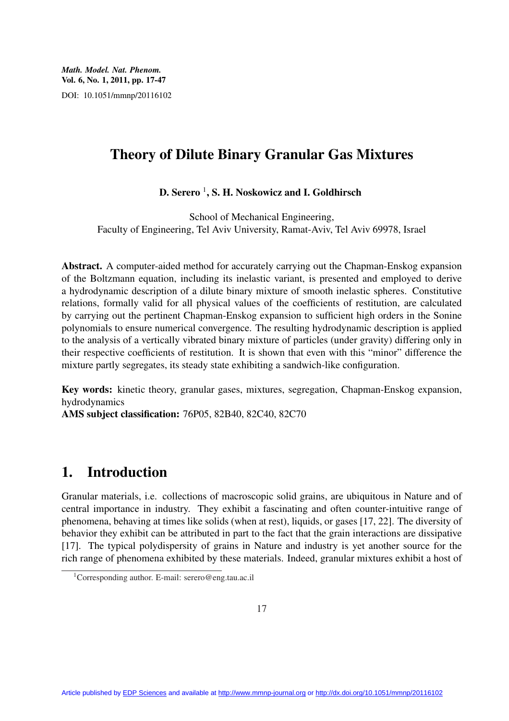*Math. Model. Nat. Phenom.* Vol. 6, No. 1, 2011, pp. 17-47 DOI: 10.1051/mmnp/20116102

### Theory of Dilute Binary Granular Gas Mixtures

D. Serero <sup>1</sup>, S. H. Noskowicz and I. Goldhirsch

School of Mechanical Engineering, Faculty of Engineering, Tel Aviv University, Ramat-Aviv, Tel Aviv 69978, Israel

Abstract. A computer-aided method for accurately carrying out the Chapman-Enskog expansion of the Boltzmann equation, including its inelastic variant, is presented and employed to derive a hydrodynamic description of a dilute binary mixture of smooth inelastic spheres. Constitutive relations, formally valid for all physical values of the coefficients of restitution, are calculated by carrying out the pertinent Chapman-Enskog expansion to sufficient high orders in the Sonine polynomials to ensure numerical convergence. The resulting hydrodynamic description is applied to the analysis of a vertically vibrated binary mixture of particles (under gravity) differing only in their respective coefficients of restitution. It is shown that even with this "minor" difference the mixture partly segregates, its steady state exhibiting a sandwich-like configuration.

Key words: kinetic theory, granular gases, mixtures, segregation, Chapman-Enskog expansion, hydrodynamics

AMS subject classification: 76P05, 82B40, 82C40, 82C70

## 1. Introduction

Granular materials, i.e. collections of macroscopic solid grains, are ubiquitous in Nature and of central importance in industry. They exhibit a fascinating and often counter-intuitive range of phenomena, behaving at times like solids (when at rest), liquids, or gases [17, 22]. The diversity of behavior they exhibit can be attributed in part to the fact that the grain interactions are dissipative [17]. The typical polydispersity of grains in Nature and industry is yet another source for the rich range of phenomena exhibited by these materials. Indeed, granular mixtures exhibit a host of

<sup>1</sup>Corresponding author. E-mail: serero@eng.tau.ac.il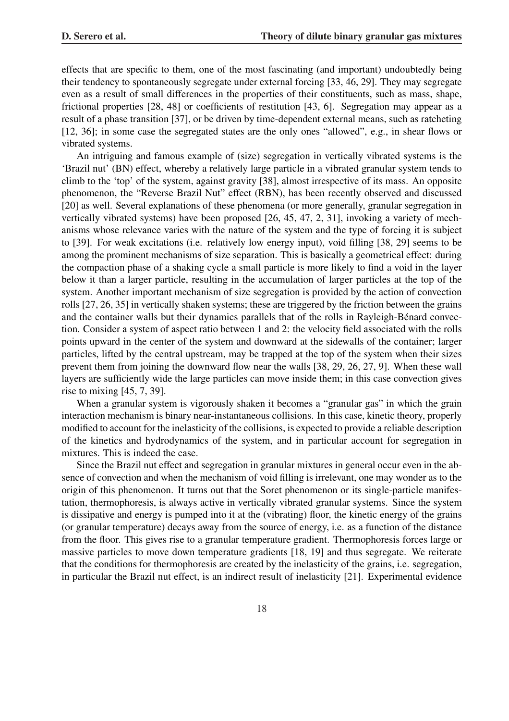effects that are specific to them, one of the most fascinating (and important) undoubtedly being their tendency to spontaneously segregate under external forcing [33, 46, 29]. They may segregate even as a result of small differences in the properties of their constituents, such as mass, shape, frictional properties [28, 48] or coefficients of restitution [43, 6]. Segregation may appear as a result of a phase transition [37], or be driven by time-dependent external means, such as ratcheting [12, 36]; in some case the segregated states are the only ones "allowed", e.g., in shear flows or vibrated systems.

An intriguing and famous example of (size) segregation in vertically vibrated systems is the 'Brazil nut' (BN) effect, whereby a relatively large particle in a vibrated granular system tends to climb to the 'top' of the system, against gravity [38], almost irrespective of its mass. An opposite phenomenon, the "Reverse Brazil Nut" effect (RBN), has been recently observed and discussed [20] as well. Several explanations of these phenomena (or more generally, granular segregation in vertically vibrated systems) have been proposed [26, 45, 47, 2, 31], invoking a variety of mechanisms whose relevance varies with the nature of the system and the type of forcing it is subject to [39]. For weak excitations (i.e. relatively low energy input), void filling [38, 29] seems to be among the prominent mechanisms of size separation. This is basically a geometrical effect: during the compaction phase of a shaking cycle a small particle is more likely to find a void in the layer below it than a larger particle, resulting in the accumulation of larger particles at the top of the system. Another important mechanism of size segregation is provided by the action of convection rolls [27, 26, 35] in vertically shaken systems; these are triggered by the friction between the grains and the container walls but their dynamics parallels that of the rolls in Rayleigh-Bénard convection. Consider a system of aspect ratio between 1 and 2: the velocity field associated with the rolls points upward in the center of the system and downward at the sidewalls of the container; larger particles, lifted by the central upstream, may be trapped at the top of the system when their sizes prevent them from joining the downward flow near the walls [38, 29, 26, 27, 9]. When these wall layers are sufficiently wide the large particles can move inside them; in this case convection gives rise to mixing [45, 7, 39].

When a granular system is vigorously shaken it becomes a "granular gas" in which the grain interaction mechanism is binary near-instantaneous collisions. In this case, kinetic theory, properly modified to account for the inelasticity of the collisions, is expected to provide a reliable description of the kinetics and hydrodynamics of the system, and in particular account for segregation in mixtures. This is indeed the case.

Since the Brazil nut effect and segregation in granular mixtures in general occur even in the absence of convection and when the mechanism of void filling is irrelevant, one may wonder as to the origin of this phenomenon. It turns out that the Soret phenomenon or its single-particle manifestation, thermophoresis, is always active in vertically vibrated granular systems. Since the system is dissipative and energy is pumped into it at the (vibrating) floor, the kinetic energy of the grains (or granular temperature) decays away from the source of energy, i.e. as a function of the distance from the floor. This gives rise to a granular temperature gradient. Thermophoresis forces large or massive particles to move down temperature gradients [18, 19] and thus segregate. We reiterate that the conditions for thermophoresis are created by the inelasticity of the grains, i.e. segregation, in particular the Brazil nut effect, is an indirect result of inelasticity [21]. Experimental evidence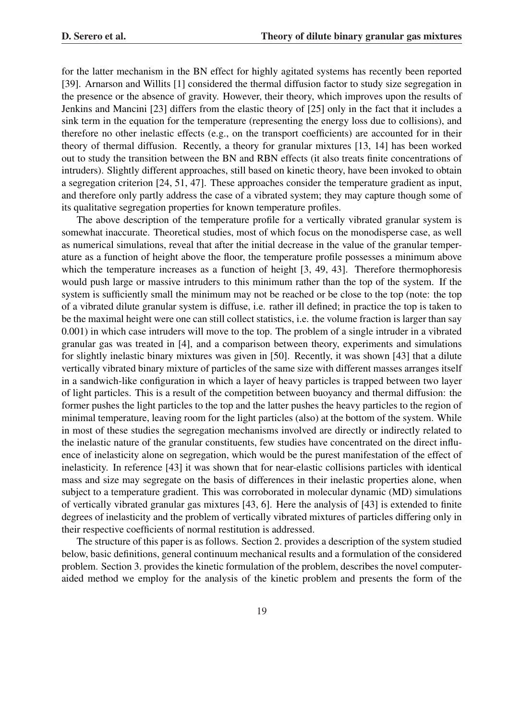for the latter mechanism in the BN effect for highly agitated systems has recently been reported [39]. Arnarson and Willits [1] considered the thermal diffusion factor to study size segregation in the presence or the absence of gravity. However, their theory, which improves upon the results of Jenkins and Mancini [23] differs from the elastic theory of [25] only in the fact that it includes a sink term in the equation for the temperature (representing the energy loss due to collisions), and therefore no other inelastic effects (e.g., on the transport coefficients) are accounted for in their theory of thermal diffusion. Recently, a theory for granular mixtures [13, 14] has been worked out to study the transition between the BN and RBN effects (it also treats finite concentrations of intruders). Slightly different approaches, still based on kinetic theory, have been invoked to obtain a segregation criterion [24, 51, 47]. These approaches consider the temperature gradient as input, and therefore only partly address the case of a vibrated system; they may capture though some of its qualitative segregation properties for known temperature profiles.

The above description of the temperature profile for a vertically vibrated granular system is somewhat inaccurate. Theoretical studies, most of which focus on the monodisperse case, as well as numerical simulations, reveal that after the initial decrease in the value of the granular temperature as a function of height above the floor, the temperature profile possesses a minimum above which the temperature increases as a function of height [3, 49, 43]. Therefore thermophoresis would push large or massive intruders to this minimum rather than the top of the system. If the system is sufficiently small the minimum may not be reached or be close to the top (note: the top of a vibrated dilute granular system is diffuse, i.e. rather ill defined; in practice the top is taken to be the maximal height were one can still collect statistics, i.e. the volume fraction is larger than say 0.001) in which case intruders will move to the top. The problem of a single intruder in a vibrated granular gas was treated in [4], and a comparison between theory, experiments and simulations for slightly inelastic binary mixtures was given in [50]. Recently, it was shown [43] that a dilute vertically vibrated binary mixture of particles of the same size with different masses arranges itself in a sandwich-like configuration in which a layer of heavy particles is trapped between two layer of light particles. This is a result of the competition between buoyancy and thermal diffusion: the former pushes the light particles to the top and the latter pushes the heavy particles to the region of minimal temperature, leaving room for the light particles (also) at the bottom of the system. While in most of these studies the segregation mechanisms involved are directly or indirectly related to the inelastic nature of the granular constituents, few studies have concentrated on the direct influence of inelasticity alone on segregation, which would be the purest manifestation of the effect of inelasticity. In reference [43] it was shown that for near-elastic collisions particles with identical mass and size may segregate on the basis of differences in their inelastic properties alone, when subject to a temperature gradient. This was corroborated in molecular dynamic (MD) simulations of vertically vibrated granular gas mixtures [43, 6]. Here the analysis of [43] is extended to finite degrees of inelasticity and the problem of vertically vibrated mixtures of particles differing only in their respective coefficients of normal restitution is addressed.

The structure of this paper is as follows. Section 2. provides a description of the system studied below, basic definitions, general continuum mechanical results and a formulation of the considered problem. Section 3. provides the kinetic formulation of the problem, describes the novel computeraided method we employ for the analysis of the kinetic problem and presents the form of the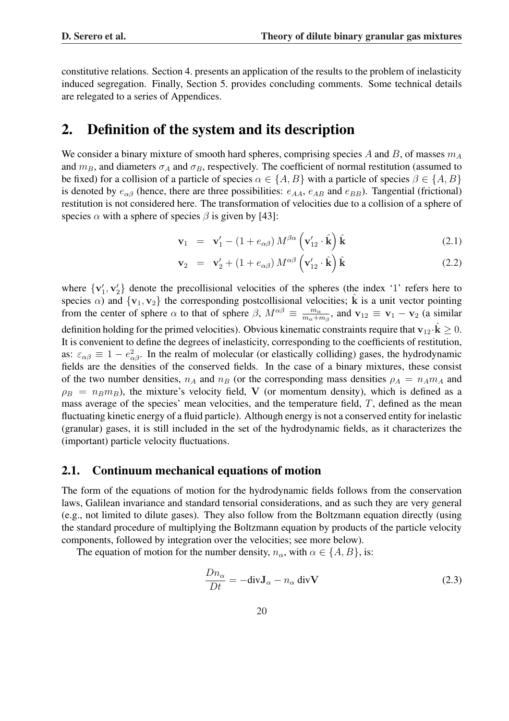constitutive relations. Section 4. presents an application of the results to the problem of inelasticity induced segregation. Finally, Section 5. provides concluding comments. Some technical details are relegated to a series of Appendices.

## 2. Definition of the system and its description

We consider a binary mixture of smooth hard spheres, comprising species A and B, of masses  $m_A$ and  $m_B$ , and diameters  $\sigma_A$  and  $\sigma_B$ , respectively. The coefficient of normal restitution (assumed to be fixed) for a collision of a particle of species  $\alpha \in \{A, B\}$  with a particle of species  $\beta \in \{A, B\}$ is denoted by  $e_{\alpha\beta}$  (hence, there are three possibilities:  $e_{AA}$ ,  $e_{AB}$  and  $e_{BB}$ ). Tangential (frictional) restitution is not considered here. The transformation of velocities due to a collision of a sphere of species  $\alpha$  with a sphere of species  $\beta$  is given by [43]:

$$
\mathbf{v}_1 = \mathbf{v}_1' - (1 + e_{\alpha\beta}) M^{\beta\alpha} \left( \mathbf{v}_{12}' \cdot \hat{\mathbf{k}} \right) \hat{\mathbf{k}} \tag{2.1}
$$

$$
\mathbf{v}_2 = \mathbf{v}_2' + (1 + e_{\alpha\beta}) M^{\alpha\beta} \left( \mathbf{v}_{12}' \cdot \hat{\mathbf{k}} \right) \hat{\mathbf{k}}
$$
 (2.2)

where  $\{v_1', v_2'\}$  denote the precollisional velocities of the spheres (the index '1' refers here to species  $\alpha$ ) and  $\{v_1, v_2\}$  the corresponding postcollisional velocities; k is a unit vector pointing from the center of sphere  $\alpha$  to that of sphere  $\beta$ ,  $M^{\alpha\beta} \equiv \frac{m_{\alpha}}{m_{\alpha} + n_{\beta}}$  $\frac{m_\alpha}{m_\alpha+m_\beta}$ , and  $\mathbf{v}_{12}\equiv \mathbf{v}_1-\mathbf{v}_2$  (a similar definition holding for the primed velocities). Obvious kinematic constraints require that  $\mathbf{v}_{12} \cdot \hat{\mathbf{k}} \geq 0$ . It is convenient to define the degrees of inelasticity, corresponding to the coefficients of restitution, as:  $\varepsilon_{\alpha\beta} \equiv 1 - e_{\alpha\beta}^2$ . In the realm of molecular (or elastically colliding) gases, the hydrodynamic fields are the densities of the conserved fields. In the case of a binary mixtures, these consist of the two number densities,  $n_A$  and  $n_B$  (or the corresponding mass densities  $\rho_A = n_A m_A$  and  $\rho_B = n_B m_B$ ), the mixture's velocity field, V (or momentum density), which is defined as a mass average of the species' mean velocities, and the temperature field,  $T$ , defined as the mean fluctuating kinetic energy of a fluid particle). Although energy is not a conserved entity for inelastic (granular) gases, it is still included in the set of the hydrodynamic fields, as it characterizes the (important) particle velocity fluctuations.

### 2.1. Continuum mechanical equations of motion

The form of the equations of motion for the hydrodynamic fields follows from the conservation laws, Galilean invariance and standard tensorial considerations, and as such they are very general (e.g., not limited to dilute gases). They also follow from the Boltzmann equation directly (using the standard procedure of multiplying the Boltzmann equation by products of the particle velocity components, followed by integration over the velocities; see more below).

The equation of motion for the number density,  $n_{\alpha}$ , with  $\alpha \in \{A, B\}$ , is:

$$
\frac{Dn_{\alpha}}{Dt} = -\text{div}\mathbf{J}_{\alpha} - n_{\alpha}\text{ div}\mathbf{V}
$$
 (2.3)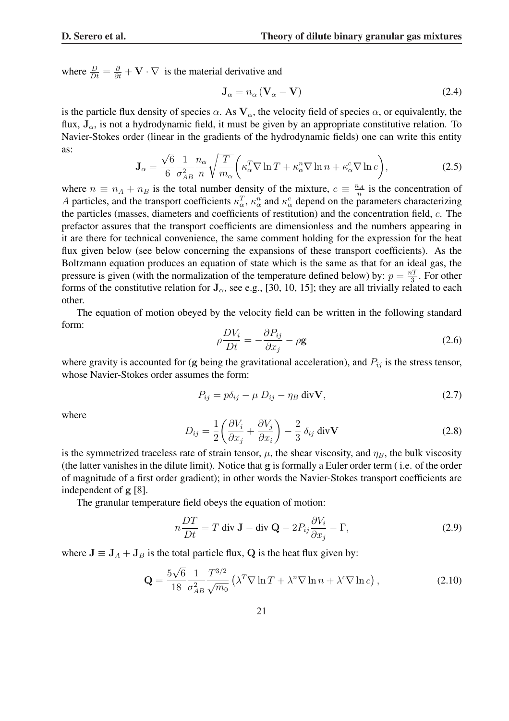where  $\frac{D}{Dt} = \frac{\partial}{\partial t} + \mathbf{V} \cdot \nabla$  is the material derivative and

$$
\mathbf{J}_{\alpha} = n_{\alpha} \left( \mathbf{V}_{\alpha} - \mathbf{V} \right) \tag{2.4}
$$

is the particle flux density of species  $\alpha$ . As  $V_{\alpha}$ , the velocity field of species  $\alpha$ , or equivalently, the flux,  $J_{\alpha}$ , is not a hydrodynamic field, it must be given by an appropriate constitutive relation. To Navier-Stokes order (linear in the gradients of the hydrodynamic fields) one can write this entity as: √ r  $\mathbb{Z}$  $\mathbf{r}$ 

$$
\mathbf{J}_{\alpha} = \frac{\sqrt{6}}{6} \frac{1}{\sigma_{AB}^2} \frac{n_{\alpha}}{n} \sqrt{\frac{T}{m_{\alpha}}} \left( \kappa_{\alpha}^T \nabla \ln T + \kappa_{\alpha}^n \nabla \ln n + \kappa_{\alpha}^c \nabla \ln c \right), \tag{2.5}
$$

where  $n \equiv n_A + n_B$  is the total number density of the mixture,  $c \equiv \frac{n_A}{n}$  $\frac{dA}{n}$  is the concentration of A particles, and the transport coefficients  $\kappa^T_\alpha$ ,  $\kappa^n_\alpha$  and  $\kappa^c_\alpha$  depend on the parameters characterizing the particles (masses, diameters and coefficients of restitution) and the concentration field, c. The prefactor assures that the transport coefficients are dimensionless and the numbers appearing in it are there for technical convenience, the same comment holding for the expression for the heat flux given below (see below concerning the expansions of these transport coefficients). As the Boltzmann equation produces an equation of state which is the same as that for an ideal gas, the pressure is given (with the normalization of the temperature defined below) by:  $p = \frac{nT}{3}$  $\frac{d}{3}$ . For other forms of the constitutive relation for  $J_{\alpha}$ , see e.g., [30, 10, 15]; they are all trivially related to each other.

The equation of motion obeyed by the velocity field can be written in the following standard form:

$$
\rho \frac{DV_i}{Dt} = -\frac{\partial P_{ij}}{\partial x_j} - \rho \mathbf{g}
$$
\n(2.6)

where gravity is accounted for (g being the gravitational acceleration), and  $P_{ij}$  is the stress tensor, whose Navier-Stokes order assumes the form:

$$
P_{ij} = p\delta_{ij} - \mu D_{ij} - \eta_B \text{div}\mathbf{V},\tag{2.7}
$$

where

$$
D_{ij} = \frac{1}{2} \left( \frac{\partial V_i}{\partial x_j} + \frac{\partial V_j}{\partial x_i} \right) - \frac{2}{3} \delta_{ij} \operatorname{div} \mathbf{V}
$$
 (2.8)

is the symmetrized traceless rate of strain tensor,  $\mu$ , the shear viscosity, and  $\eta_B$ , the bulk viscosity (the latter vanishes in the dilute limit). Notice that g is formally a Euler order term ( i.e. of the order of magnitude of a first order gradient); in other words the Navier-Stokes transport coefficients are independent of g [8].

The granular temperature field obeys the equation of motion:

$$
n\frac{DT}{Dt} = T \text{ div } \mathbf{J} - \text{div } \mathbf{Q} - 2P_{ij}\frac{\partial V_i}{\partial x_j} - \Gamma,
$$
 (2.9)

where  $J \equiv J_A + J_B$  is the total particle flux, Q is the heat flux given by:

$$
\mathbf{Q} = \frac{5\sqrt{6}}{18} \frac{1}{\sigma_{AB}^2} \frac{T^{3/2}}{\sqrt{m_0}} \left( \lambda^T \nabla \ln T + \lambda^n \nabla \ln n + \lambda^c \nabla \ln c \right), \tag{2.10}
$$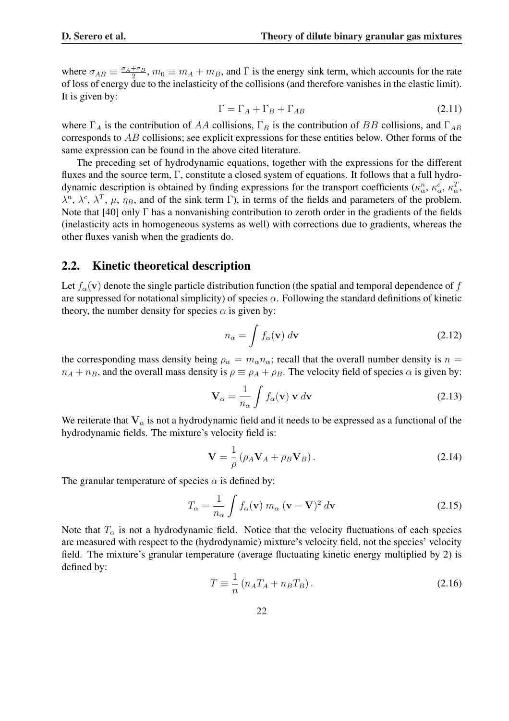where  $\sigma_{AB} \equiv \frac{\sigma_A + \sigma_B}{2}$  $\frac{1}{2} \sigma_B$ ,  $m_0 \equiv m_A + m_B$ , and  $\Gamma$  is the energy sink term, which accounts for the rate of loss of energy due to the inelasticity of the collisions (and therefore vanishes in the elastic limit). It is given by:

$$
\Gamma = \Gamma_A + \Gamma_B + \Gamma_{AB} \tag{2.11}
$$

where  $\Gamma_A$  is the contribution of AA collisions,  $\Gamma_B$  is the contribution of BB collisions, and  $\Gamma_{AB}$ corresponds to AB collisions; see explicit expressions for these entities below. Other forms of the same expression can be found in the above cited literature.

The preceding set of hydrodynamic equations, together with the expressions for the different fluxes and the source term, Γ, constitute a closed system of equations. It follows that a full hydrodynamic description is obtained by finding expressions for the transport coefficients ( $\kappa_\alpha^n$ ,  $\kappa_\alpha^c$ ,  $\kappa_\alpha^T$ ,  $\lambda^n$ ,  $\lambda^c$ ,  $\lambda^T$ ,  $\mu$ ,  $\eta_B$ , and of the sink term  $\Gamma$ ), in terms of the fields and parameters of the problem. Note that [40] only  $\Gamma$  has a nonvanishing contribution to zeroth order in the gradients of the fields (inelasticity acts in homogeneous systems as well) with corrections due to gradients, whereas the other fluxes vanish when the gradients do.

### 2.2. Kinetic theoretical description

Let  $f_{\alpha}(v)$  denote the single particle distribution function (the spatial and temporal dependence of f are suppressed for notational simplicity) of species  $\alpha$ . Following the standard definitions of kinetic theory, the number density for species  $\alpha$  is given by:

$$
n_{\alpha} = \int f_{\alpha}(\mathbf{v}) \, d\mathbf{v}
$$
 (2.12)

the corresponding mass density being  $\rho_{\alpha} = m_{\alpha} n_{\alpha}$ ; recall that the overall number density is  $n =$  $n_A + n_B$ , and the overall mass density is  $\rho \equiv \rho_A + \rho_B$ . The velocity field of species  $\alpha$  is given by:

$$
\mathbf{V}_{\alpha} = \frac{1}{n_{\alpha}} \int f_{\alpha}(\mathbf{v}) \mathbf{v} \, d\mathbf{v}
$$
 (2.13)

We reiterate that  $V_\alpha$  is not a hydrodynamic field and it needs to be expressed as a functional of the hydrodynamic fields. The mixture's velocity field is:

$$
\mathbf{V} = \frac{1}{\rho} \left( \rho_A \mathbf{V}_A + \rho_B \mathbf{V}_B \right). \tag{2.14}
$$

The granular temperature of species  $\alpha$  is defined by:

$$
T_{\alpha} = \frac{1}{n_{\alpha}} \int f_{\alpha}(\mathbf{v}) \, m_{\alpha} \, (\mathbf{v} - \mathbf{V})^2 \, d\mathbf{v}
$$
 (2.15)

Note that  $T_{\alpha}$  is not a hydrodynamic field. Notice that the velocity fluctuations of each species are measured with respect to the (hydrodynamic) mixture's velocity field, not the species' velocity field. The mixture's granular temperature (average fluctuating kinetic energy multiplied by 2) is defined by:

$$
T \equiv \frac{1}{n} \left( n_A T_A + n_B T_B \right). \tag{2.16}
$$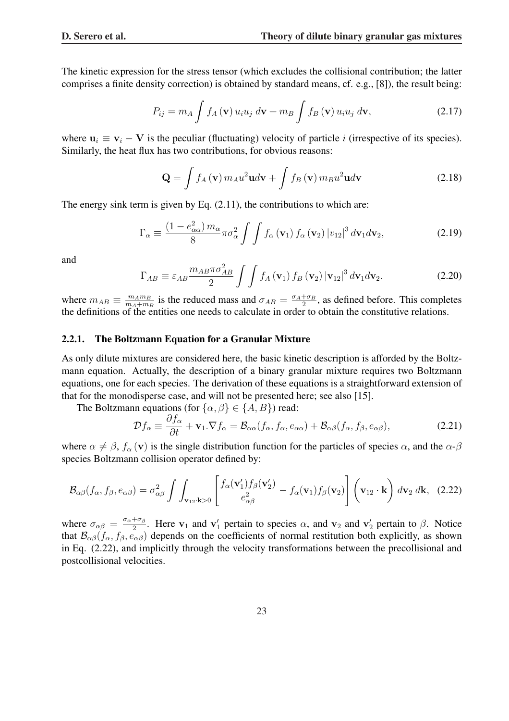The kinetic expression for the stress tensor (which excludes the collisional contribution; the latter comprises a finite density correction) is obtained by standard means, cf. e.g., [8]), the result being:

$$
P_{ij} = m_A \int f_A(\mathbf{v}) u_i u_j d\mathbf{v} + m_B \int f_B(\mathbf{v}) u_i u_j d\mathbf{v}, \qquad (2.17)
$$

where  $u_i \equiv v_i - V$  is the peculiar (fluctuating) velocity of particle *i* (irrespective of its species). Similarly, the heat flux has two contributions, for obvious reasons:

$$
\mathbf{Q} = \int f_A \left( \mathbf{v} \right) m_A u^2 \mathbf{u} d\mathbf{v} + \int f_B \left( \mathbf{v} \right) m_B u^2 \mathbf{u} d\mathbf{v}
$$
 (2.18)

The energy sink term is given by Eq. (2.11), the contributions to which are:

$$
\Gamma_{\alpha} \equiv \frac{\left(1 - e_{\alpha\alpha}^{2}\right) m_{\alpha}}{8} \pi \sigma_{\alpha}^{2} \int \int f_{\alpha} \left(\mathbf{v}_{1}\right) f_{\alpha} \left(\mathbf{v}_{2}\right) \left|v_{12}\right|^{3} d\mathbf{v}_{1} d\mathbf{v}_{2}, \tag{2.19}
$$

and

$$
\Gamma_{AB} \equiv \varepsilon_{AB} \frac{m_{AB} \pi \sigma_{AB}^2}{2} \int \int f_A \left(\mathbf{v}_1\right) f_B \left(\mathbf{v}_2\right) \left|\mathbf{v}_{12}\right|^3 d\mathbf{v}_1 d\mathbf{v}_2. \tag{2.20}
$$

where  $m_{AB} \equiv \frac{m_A m_B}{m_A + m_B}$  $\frac{m_A m_B}{m_A + m_B}$  is the reduced mass and  $\sigma_{AB} = \frac{\sigma_A + \sigma_B}{2}$  $\frac{1}{2}$ , as defined before. This completes the definitions of the entities one needs to calculate in order to obtain the constitutive relations.

#### 2.2.1. The Boltzmann Equation for a Granular Mixture

As only dilute mixtures are considered here, the basic kinetic description is afforded by the Boltzmann equation. Actually, the description of a binary granular mixture requires two Boltzmann equations, one for each species. The derivation of these equations is a straightforward extension of that for the monodisperse case, and will not be presented here; see also [15].

The Boltzmann equations (for  $\{\alpha, \beta\} \in \{A, B\}$ ) read:

$$
\mathcal{D}f_{\alpha} \equiv \frac{\partial f_{\alpha}}{\partial t} + \mathbf{v}_{1}.\nabla f_{\alpha} = \mathcal{B}_{\alpha\alpha}(f_{\alpha}, f_{\alpha}, e_{\alpha\alpha}) + \mathcal{B}_{\alpha\beta}(f_{\alpha}, f_{\beta}, e_{\alpha\beta}),
$$
(2.21)

where  $\alpha \neq \beta$ ,  $f_{\alpha}$  (v) is the single distribution function for the particles of species  $\alpha$ , and the  $\alpha$ - $\beta$ species Boltzmann collision operator defined by:

$$
\mathcal{B}_{\alpha\beta}(f_{\alpha},f_{\beta},e_{\alpha\beta})=\sigma_{\alpha\beta}^2\int\int_{\mathbf{v}_{12}\cdot\mathbf{k}>0}\left[\frac{f_{\alpha}(\mathbf{v}'_1)f_{\beta}(\mathbf{v}'_2)}{e_{\alpha\beta}^2}-f_{\alpha}(\mathbf{v}_1)f_{\beta}(\mathbf{v}_2)\right](\mathbf{v}_{12}\cdot\mathbf{k})d\mathbf{v}_2\,d\mathbf{k},\tag{2.22}
$$

where  $\sigma_{\alpha\beta} = \frac{\sigma_{\alpha} + \sigma_{\beta}}{2}$  $\frac{1-\sigma_{\beta}}{2}$ . Here  $v_1$  and  $v'_1$  pertain to species  $\alpha$ , and  $v_2$  and  $v'_2$  pertain to  $\beta$ . Notice that  $\mathcal{B}_{\alpha\beta}(f_{\alpha}, f_{\beta}, e_{\alpha\beta})$  depends on the coefficients of normal restitution both explicitly, as shown in Eq. (2.22), and implicitly through the velocity transformations between the precollisional and postcollisional velocities.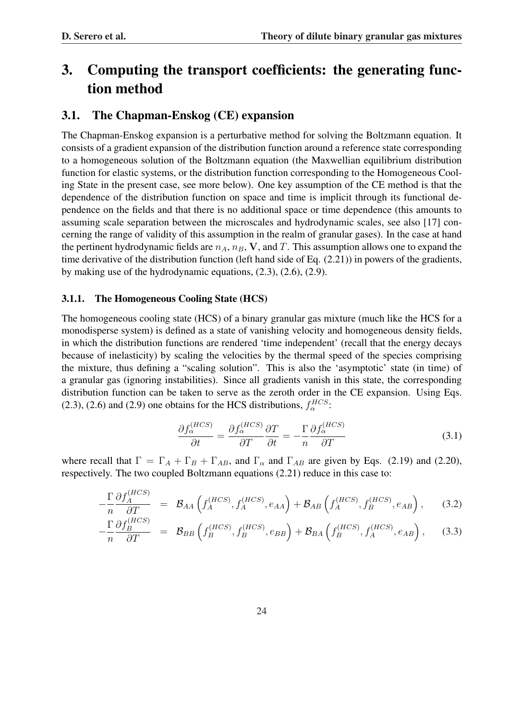# 3. Computing the transport coefficients: the generating function method

### 3.1. The Chapman-Enskog (CE) expansion

The Chapman-Enskog expansion is a perturbative method for solving the Boltzmann equation. It consists of a gradient expansion of the distribution function around a reference state corresponding to a homogeneous solution of the Boltzmann equation (the Maxwellian equilibrium distribution function for elastic systems, or the distribution function corresponding to the Homogeneous Cooling State in the present case, see more below). One key assumption of the CE method is that the dependence of the distribution function on space and time is implicit through its functional dependence on the fields and that there is no additional space or time dependence (this amounts to assuming scale separation between the microscales and hydrodynamic scales, see also [17] concerning the range of validity of this assumption in the realm of granular gases). In the case at hand the pertinent hydrodynamic fields are  $n_A$ ,  $n_B$ , V, and T. This assumption allows one to expand the time derivative of the distribution function (left hand side of Eq. (2.21)) in powers of the gradients, by making use of the hydrodynamic equations, (2.3), (2.6), (2.9).

### 3.1.1. The Homogeneous Cooling State (HCS)

The homogeneous cooling state (HCS) of a binary granular gas mixture (much like the HCS for a monodisperse system) is defined as a state of vanishing velocity and homogeneous density fields, in which the distribution functions are rendered 'time independent' (recall that the energy decays because of inelasticity) by scaling the velocities by the thermal speed of the species comprising the mixture, thus defining a "scaling solution". This is also the 'asymptotic' state (in time) of a granular gas (ignoring instabilities). Since all gradients vanish in this state, the corresponding distribution function can be taken to serve as the zeroth order in the CE expansion. Using Eqs. (2.3), (2.6) and (2.9) one obtains for the HCS distributions,  $f_{\alpha}^{HCS}$ :

$$
\frac{\partial f_{\alpha}^{(HCS)}}{\partial t} = \frac{\partial f_{\alpha}^{(HCS)}}{\partial T} \frac{\partial T}{\partial t} = -\frac{\Gamma}{n} \frac{\partial f_{\alpha}^{(HCS)}}{\partial T}
$$
(3.1)

where recall that  $\Gamma = \Gamma_A + \Gamma_B + \Gamma_{AB}$ , and  $\Gamma_{\alpha}$  and  $\Gamma_{AB}$  are given by Eqs. (2.19) and (2.20), respectively. The two coupled Boltzmann equations (2.21) reduce in this case to:

$$
-\frac{\Gamma}{n}\frac{\partial f_A^{(HCS)}}{\partial T} = \mathcal{B}_{AA}\left(f_A^{(HCS)}, f_A^{(HCS)}, e_{AA}\right) + \mathcal{B}_{AB}\left(f_A^{(HCS)}, f_B^{(HCS)}, e_{AB}\right),\tag{3.2}
$$

$$
-\frac{\Gamma}{n}\frac{\partial f_B^{(HCS)}}{\partial T} = \mathcal{B}_{BB}\left(f_B^{(HCS)}, f_B^{(HCS)}, e_{BB}\right) + \mathcal{B}_{BA}\left(f_B^{(HCS)}, f_A^{(HCS)}, e_{AB}\right),\tag{3.3}
$$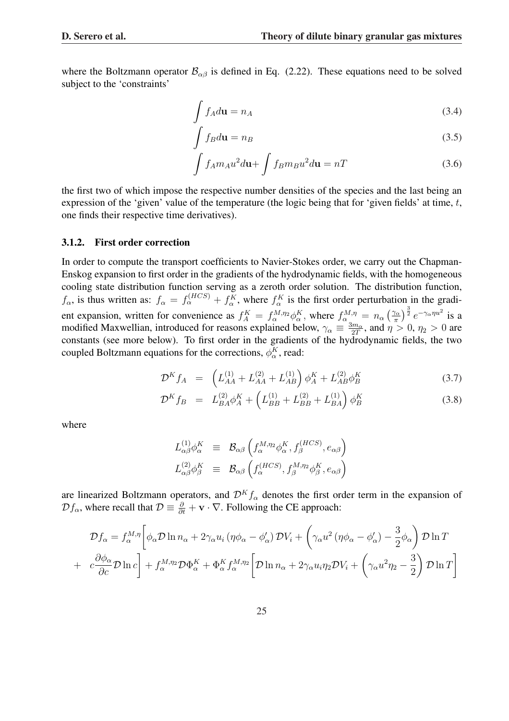where the Boltzmann operator  $\mathcal{B}_{\alpha\beta}$  is defined in Eq. (2.22). These equations need to be solved subject to the 'constraints'

$$
\int_{c} f_A d\mathbf{u} = n_A \tag{3.4}
$$

$$
\int_{c} f_B d\mathbf{u} = n_B \tag{3.5}
$$

$$
\int f_A m_A u^2 d\mathbf{u} + \int f_B m_B u^2 d\mathbf{u} = nT \tag{3.6}
$$

the first two of which impose the respective number densities of the species and the last being an expression of the 'given' value of the temperature (the logic being that for 'given fields' at time,  $t$ , one finds their respective time derivatives).

#### 3.1.2. First order correction

In order to compute the transport coefficients to Navier-Stokes order, we carry out the Chapman-Enskog expansion to first order in the gradients of the hydrodynamic fields, with the homogeneous cooling state distribution function serving as a zeroth order solution. The distribution function,  $f_\alpha$ , is thus written as:  $f_\alpha = f_\alpha^{(HCS)} + f_\alpha^K$ , where  $f_\alpha^K$  is the first order perturbation in the gradient expansion, written for convenience as  $f_A^K = f_{\alpha}^{M,\eta_2} \phi_{\alpha}^K$ , where  $f_{\alpha}^{M,\eta} = n_{\alpha}$  $rac{1}{\sqrt{\alpha}}$ π  $\frac{11}{2}$  $\frac{3}{2}e^{-\gamma_{\alpha}\eta u^{2}}$  is a modified Maxwellian, introduced for reasons explained below,  $\gamma_{\alpha} \equiv \frac{3m_{\alpha}}{2T}$  $\frac{dm_{\alpha}}{2T}$ , and  $\eta > 0$ ,  $\eta_2 > 0$  are constants (see more below). To first order in the gradients of the hydrodynamic fields, the two coupled Boltzmann equations for the corrections,  $\phi_{\alpha}^{K}$ , read:

$$
\mathcal{D}^K f_A = \left( L_{AA}^{(1)} + L_{AA}^{(2)} + L_{AB}^{(1)} \right) \phi_A^K + L_{AB}^{(2)} \phi_B^K
$$
\n(3.7)

$$
\mathcal{D}^K f_B = L_{BA}^{(2)} \phi_A^K + \left( L_{BB}^{(1)} + L_{BB}^{(2)} + L_{BA}^{(1)} \right) \phi_B^K
$$
(3.8)

where

$$
L_{\alpha\beta}^{(1)} \phi_{\alpha}^{K} \equiv \mathcal{B}_{\alpha\beta} \left( f_{\alpha}^{M,\eta_2} \phi_{\alpha}^{K}, f_{\beta}^{(HCS)}, e_{\alpha\beta} \right)
$$
  

$$
L_{\alpha\beta}^{(2)} \phi_{\beta}^{K} \equiv \mathcal{B}_{\alpha\beta} \left( f_{\alpha}^{(HCS)}, f_{\beta}^{M,\eta_2} \phi_{\beta}^{K}, e_{\alpha\beta} \right)
$$

are linearized Boltzmann operators, and  $\mathcal{D}^K f_\alpha$  denotes the first order term in the expansion of  $\mathcal{D}f_{\alpha}$ , where recall that  $\mathcal{D} \equiv \frac{\partial}{\partial t} + \mathbf{v} \cdot \nabla$ . Following the CE approach:

$$
\mathcal{D}f_{\alpha} = f_{\alpha}^{M,\eta} \left[ \phi_{\alpha} \mathcal{D} \ln n_{\alpha} + 2\gamma_{\alpha} u_i \left( \eta \phi_{\alpha} - \phi_{\alpha}' \right) \mathcal{D}V_i + \left( \gamma_{\alpha} u^2 \left( \eta \phi_{\alpha} - \phi_{\alpha}' \right) - \frac{3}{2} \phi_{\alpha} \right) \mathcal{D} \ln T \right] + c \frac{\partial \phi_{\alpha}}{\partial c} \mathcal{D} \ln c \right] + f_{\alpha}^{M,\eta_2} \mathcal{D} \Phi_{\alpha}^K + \Phi_{\alpha}^K f_{\alpha}^{M,\eta_2} \left[ \mathcal{D} \ln n_{\alpha} + 2\gamma_{\alpha} u_i \eta_2 \mathcal{D}V_i + \left( \gamma_{\alpha} u^2 \eta_2 - \frac{3}{2} \right) \mathcal{D} \ln T \right]
$$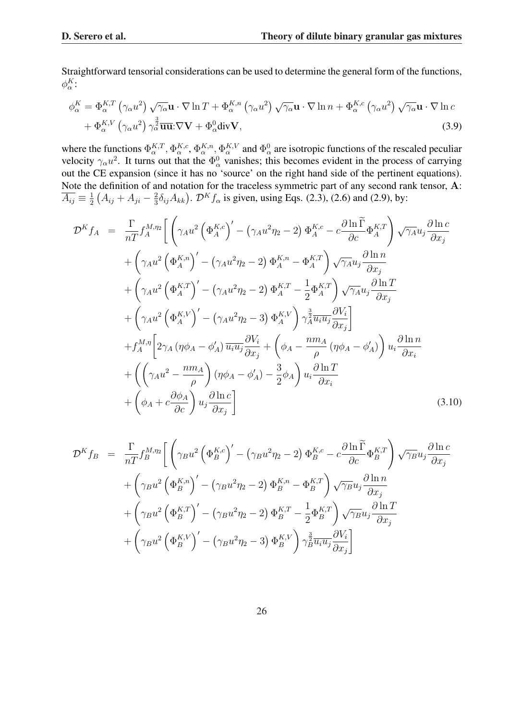Straightforward tensorial considerations can be used to determine the general form of the functions,  $\phi_\alpha^K$ :

$$
\phi_{\alpha}^{K} = \Phi_{\alpha}^{K,T} \left( \gamma_{\alpha} u^{2} \right) \sqrt{\gamma_{\alpha}} \mathbf{u} \cdot \nabla \ln T + \Phi_{\alpha}^{K,n} \left( \gamma_{\alpha} u^{2} \right) \sqrt{\gamma_{\alpha}} \mathbf{u} \cdot \nabla \ln n + \Phi_{\alpha}^{K,c} \left( \gamma_{\alpha} u^{2} \right) \sqrt{\gamma_{\alpha}} \mathbf{u} \cdot \nabla \ln c
$$
  
+ 
$$
\Phi_{\alpha}^{K,V} \left( \gamma_{\alpha} u^{2} \right) \gamma_{\alpha}^{\frac{3}{2}} \overline{\mathbf{u}} \overline{\mathbf{u}} \cdot \nabla \mathbf{V} + \Phi_{\alpha}^{0} \operatorname{div} \mathbf{V}, \tag{3.9}
$$

where the functions  $\Phi_{\alpha}^{K,T}$ ,  $\Phi_{\alpha}^{K,c}$ ,  $\Phi_{\alpha}^{K,n}$ ,  $\Phi_{\alpha}^{K,V}$  and  $\Phi_{\alpha}^0$  are isotropic functions of the rescaled peculiar velocity  $\gamma_\alpha u^2$ . It turns out that the  $\Phi_\alpha^0$  vanishes; this becomes evident in the process of carrying out the CE expansion (since it has no 'source' on the right hand side of the pertinent equations). Note the definition of and notation for the traceless symmetric part of any second rank tensor, A:  $\overline{A_{ij}} \equiv \frac{1}{2}$  $\frac{1}{2}(A_{ij}+A_{ji}-\frac{2}{3})$ and notation for the traceless symmetric part of any second raino  $\frac{2}{3}\delta_{ij}A_{kk}$ ).  $\mathcal{D}^K f_\alpha$  is given, using Eqs. (2.3), (2.6) and (2.9), by:

$$
\mathcal{D}^{K}f_{A} = \frac{\Gamma}{nT} f_{A}^{M,\eta_{2}} \Big[ \left( \gamma_{A} u^{2} \left( \Phi_{A}^{K,c} \right)' - \left( \gamma_{A} u^{2} \eta_{2} - 2 \right) \Phi_{A}^{K,c} - c \frac{\partial \ln \widetilde{\Gamma}}{\partial c} \Phi_{A}^{K,T} \right) \sqrt{\gamma_{A}} u_{j} \frac{\partial \ln c}{\partial x_{j}} \n+ \left( \gamma_{A} u^{2} \left( \Phi_{A}^{K,n} \right)' - \left( \gamma_{A} u^{2} \eta_{2} - 2 \right) \Phi_{A}^{K,n} - \Phi_{A}^{K,T} \right) \sqrt{\gamma_{A}} u_{j} \frac{\partial \ln n}{\partial x_{j}} \n+ \left( \gamma_{A} u^{2} \left( \Phi_{A}^{K,T} \right)' - \left( \gamma_{A} u^{2} \eta_{2} - 2 \right) \Phi_{A}^{K,T} - \frac{1}{2} \Phi_{A}^{K,T} \right) \sqrt{\gamma_{A}} u_{j} \frac{\partial \ln T}{\partial x_{j}} \n+ \left( \gamma_{A} u^{2} \left( \Phi_{A}^{K,V} \right)' - \left( \gamma_{A} u^{2} \eta_{2} - 3 \right) \Phi_{A}^{K,V} \right) \gamma_{A}^{\frac{3}{2}} u_{i} \frac{\partial V_{i}}{\partial x_{j}} \Big] \n+ f_{A}^{M,\eta} \Big[ 2 \gamma_{A} \left( \eta \phi_{A} - \phi_{A}' \right) \overline{u_{i} u_{j}} \frac{\partial V_{i}}{\partial x_{j}} + \left( \phi_{A} - \frac{n m_{A}}{\rho} \left( \eta \phi_{A} - \phi_{A}' \right) \right) u_{i} \frac{\partial \ln n}{\partial x_{i}} \n+ \left( \left( \gamma_{A} u^{2} - \frac{n m_{A}}{\rho} \right) \left( \eta \phi_{A} - \phi_{A}' \right) - \frac{3}{2} \phi_{A} \right) u_{i} \frac{\partial \ln T}{\partial x_{i}} \n+ \left( \phi_{A} + c \frac{\partial \phi_{A}}{\partial c} \right) u_{j} \frac{\partial \ln c}{\partial x_{j}} \Big] \tag{3.10}
$$

$$
\mathcal{D}^{K} f_{B} = \frac{\Gamma}{nT} f_{B}^{M,\eta_{2}} \left[ \left( \gamma_{B} u^{2} \left( \Phi_{B}^{K,c} \right)' - \left( \gamma_{B} u^{2} \eta_{2} - 2 \right) \Phi_{B}^{K,c} - c \frac{\partial \ln \widetilde{\Gamma}}{\partial c} \Phi_{B}^{K,T} \right) \sqrt{\gamma_{B}} u_{j} \frac{\partial \ln c}{\partial x_{j}} \right. \\
\left. + \left( \gamma_{B} u^{2} \left( \Phi_{B}^{K,n} \right)' - \left( \gamma_{B} u^{2} \eta_{2} - 2 \right) \Phi_{B}^{K,n} - \Phi_{B}^{K,T} \right) \sqrt{\gamma_{B}} u_{j} \frac{\partial \ln n}{\partial x_{j}} \right. \\
\left. + \left( \gamma_{B} u^{2} \left( \Phi_{B}^{K,T} \right)' - \left( \gamma_{B} u^{2} \eta_{2} - 2 \right) \Phi_{B}^{K,T} - \frac{1}{2} \Phi_{B}^{K,T} \right) \sqrt{\gamma_{B}} u_{j} \frac{\partial \ln T}{\partial x_{j}} \right. \\
\left. + \left( \gamma_{B} u^{2} \left( \Phi_{B}^{K,V} \right)' - \left( \gamma_{B} u^{2} \eta_{2} - 3 \right) \Phi_{B}^{K,V} \right) \gamma_{B}^{\frac{3}{2}} \overline{u_{i} u_{j}} \frac{\partial V_{i}}{\partial x_{j}} \right]
$$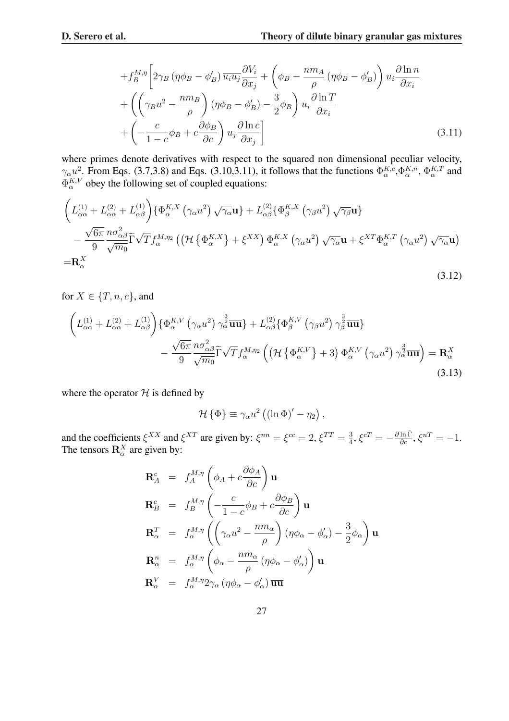$$
+f_{B}^{M,\eta}\left[2\gamma_{B}\left(\eta\phi_{B}-\phi_{B}'\right)\overline{u_{i}u_{j}}\frac{\partial V_{i}}{\partial x_{j}}+\left(\phi_{B}-\frac{nm_{A}}{\rho}\left(\eta\phi_{B}-\phi_{B}'\right)\right)u_{i}\frac{\partial\ln n}{\partial x_{i}}\right] + \left(\left(\gamma_{B}u^{2}-\frac{nm_{B}}{\rho}\right)\left(\eta\phi_{B}-\phi_{B}'\right)-\frac{3}{2}\phi_{B}\right)u_{i}\frac{\partial\ln T}{\partial x_{i}} + \left(-\frac{c}{1-c}\phi_{B}+c\frac{\partial\phi_{B}}{\partial c}\right)u_{j}\frac{\partial\ln c}{\partial x_{j}}\right]
$$
(3.11)

where primes denote derivatives with respect to the squared non dimensional peculiar velocity,  $\gamma_\alpha u^2$ . From Eqs. (3.7,3.8) and Eqs. (3.10,3.11), it follows that the functions  $\Phi_\alpha^{K,c}, \Phi_\alpha^{K,n}, \Phi_\alpha^{K,T}$  and  $\Phi_{\alpha}^{K,V}$  obey the following set of coupled equations:

$$
\left(L_{\alpha\alpha}^{(1)} + L_{\alpha\alpha}^{(2)} + L_{\alpha\beta}^{(1)}\right) \left\{\Phi_{\alpha}^{K,X}\left(\gamma_{\alpha}u^{2}\right)\sqrt{\gamma_{\alpha}}\mathbf{u}\right\} + L_{\alpha\beta}^{(2)} \left\{\Phi_{\beta}^{K,X}\left(\gamma_{\beta}u^{2}\right)\sqrt{\gamma_{\beta}}\mathbf{u}\right\} -\frac{\sqrt{6\pi}}{9} \frac{n\sigma_{\alpha\beta}^{2}}{\sqrt{m_{0}}} \widetilde{\Gamma} \sqrt{T} f_{\alpha}^{M,\eta_{2}}\left(\left(\mathcal{H}\left\{\Phi_{\alpha}^{K,X}\right\} + \xi^{XX}\right)\Phi_{\alpha}^{K,X}\left(\gamma_{\alpha}u^{2}\right)\sqrt{\gamma_{\alpha}}\mathbf{u} + \xi^{XT}\Phi_{\alpha}^{K,T}\left(\gamma_{\alpha}u^{2}\right)\sqrt{\gamma_{\alpha}}\mathbf{u}\right) = \mathbf{R}_{\alpha}^{X}
$$
\n(3.12)

for  $X \in \{T, n, c\}$ , and

$$
\left(L_{\alpha\alpha}^{(1)} + L_{\alpha\alpha}^{(2)} + L_{\alpha\beta}^{(1)}\right) \left\{\Phi_{\alpha}^{K,V}\left(\gamma_{\alpha}u^{2}\right)\gamma_{\alpha}^{\frac{3}{2}}\overline{\mathbf{u}}\overline{\mathbf{u}}\right\} + L_{\alpha\beta}^{(2)}\left\{\Phi_{\beta}^{K,V}\left(\gamma_{\beta}u^{2}\right)\gamma_{\beta}^{\frac{3}{2}}\overline{\mathbf{u}}\overline{\mathbf{u}}\right\} -\frac{\sqrt{6\pi}}{9} \frac{n\sigma_{\alpha\beta}^{2}}{\sqrt{m_{0}}}\widetilde{\Gamma}\sqrt{T}f_{\alpha}^{M,\eta_{2}}\left(\left(\mathcal{H}\left\{\Phi_{\alpha}^{K,V}\right\}+3\right)\Phi_{\alpha}^{K,V}\left(\gamma_{\alpha}u^{2}\right)\gamma_{\alpha}^{\frac{3}{2}}\overline{\mathbf{u}}\overline{\mathbf{u}}\right) = \mathbf{R}_{\alpha}^{X}
$$
\n(3.13)

where the operator  $H$  is defined by

$$
\mathcal{H}\left\{\Phi\right\} \equiv \gamma_{\alpha} u^2 \left( (\ln \Phi)' - \eta_2 \right),
$$

and the coefficients  $\xi^{XX}$  and  $\xi^{XT}$  are given by:  $\xi^{nn} = \xi^{cc} = 2$ ,  $\xi^{TT} = \frac{3}{4}$  $\frac{3}{4}$ ,  $\xi^{cT} = -\frac{\partial \ln \tilde{\Gamma}}{\partial c}$ ,  $\xi^{nT} = -1$ . The tensors  $\mathbf{R}_{\alpha}^{X}$  are given by:

$$
\mathbf{R}_{A}^{c} = f_{A}^{M,\eta} \left( \phi_{A} + c \frac{\partial \phi_{A}}{\partial c} \right) \mathbf{u}
$$
  
\n
$$
\mathbf{R}_{B}^{c} = f_{B}^{M,\eta} \left( -\frac{c}{1-c} \phi_{B} + c \frac{\partial \phi_{B}}{\partial c} \right) \mathbf{u}
$$
  
\n
$$
\mathbf{R}_{\alpha}^{T} = f_{\alpha}^{M,\eta} \left( \left( \gamma_{\alpha} u^{2} - \frac{n m_{\alpha}}{\rho} \right) (\eta \phi_{\alpha} - \phi_{\alpha}') - \frac{3}{2} \phi_{\alpha} \right) \mathbf{u}
$$
  
\n
$$
\mathbf{R}_{\alpha}^{n} = f_{\alpha}^{M,\eta} \left( \phi_{\alpha} - \frac{n m_{\alpha}}{\rho} (\eta \phi_{\alpha} - \phi_{\alpha}') \right) \mathbf{u}
$$
  
\n
$$
\mathbf{R}_{\alpha}^{V} = f_{\alpha}^{M,\eta} 2 \gamma_{\alpha} (\eta \phi_{\alpha} - \phi_{\alpha}') \overline{\mathbf{u}} \mathbf{u}
$$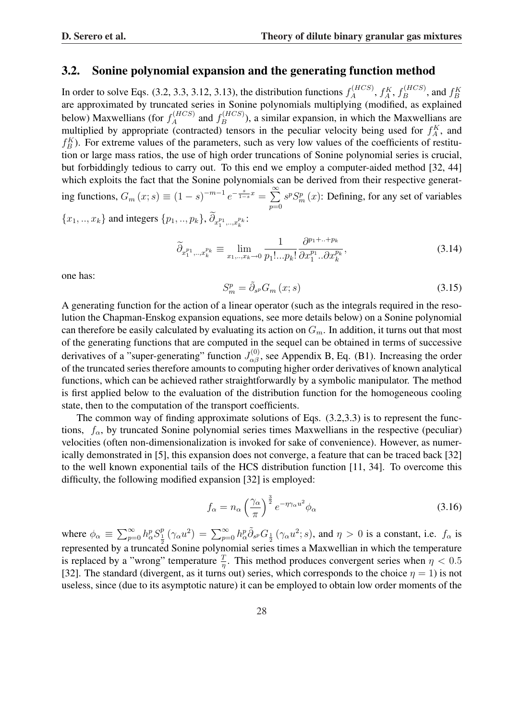### 3.2. Sonine polynomial expansion and the generating function method

In order to solve Eqs. (3.2, 3.3, 3.12, 3.13), the distribution functions  $f_A^{(HCS)}$  $f_A^{(HCS)}, f_A^K, f_B^{(HCS)}$  $\iota_B^{(HCS)}$ , and  $f_B^K$ are approximated by truncated series in Sonine polynomials multiplying (modified, as explained below) Maxwellians (for  $f_A^{(HCS)}$  $A^{(HCS)}$  and  $f_B^{(HCS)}$  $B_B^{(HCS)}$ , a similar expansion, in which the Maxwellians are multiplied by appropriate (contracted) tensors in the peculiar velocity being used for  $f_A^K$ , and  $f_B^K$ ). For extreme values of the parameters, such as very low values of the coefficients of restitution or large mass ratios, the use of high order truncations of Sonine polynomial series is crucial, but forbiddingly tedious to carry out. To this end we employ a computer-aided method [32, 44] which exploits the fact that the Sonine polynomials can be derived from their respective generating functions,  $G_m(x; s) \equiv (1 - s)^{-m-1} e^{-\frac{s}{1-s}x} = \sum_{n=1}^{\infty}$  $p=0$  $s^p S_m^p(x)$ : Defining, for any set of variables  ${x_1, ..., x_k}$  and integers  ${p_1, ..., p_k}$ ,  $\tilde{\partial}_{x_1^{p_1}, ..., x_k^{p_k}}$ :

$$
\widetilde{\partial}_{x_1^{p_1},\dots,x_k^{p_k}} \equiv \lim_{x_1,\dots,x_k \to 0} \frac{1}{p_1! \dots p_k!} \frac{\partial^{p_1+\dots+p_k}}{\partial x_1^{p_1} \dots \partial x_k^{p_k}},\tag{3.14}
$$

one has:

$$
S_m^p = \tilde{\partial}_{s^p} G_m(x; s) \tag{3.15}
$$

A generating function for the action of a linear operator (such as the integrals required in the resolution the Chapman-Enskog expansion equations, see more details below) on a Sonine polynomial can therefore be easily calculated by evaluating its action on  $G_m$ . In addition, it turns out that most of the generating functions that are computed in the sequel can be obtained in terms of successive derivatives of a "super-generating" function  $J_{\alpha\beta}^{(0)}$ , see Appendix B, Eq. (B1). Increasing the order of the truncated series therefore amounts to computing higher order derivatives of known analytical functions, which can be achieved rather straightforwardly by a symbolic manipulator. The method is first applied below to the evaluation of the distribution function for the homogeneous cooling state, then to the computation of the transport coefficients.

The common way of finding approximate solutions of Eqs. (3.2,3.3) is to represent the functions,  $f_{\alpha}$ , by truncated Sonine polynomial series times Maxwellians in the respective (peculiar) velocities (often non-dimensionalization is invoked for sake of convenience). However, as numerically demonstrated in [5], this expansion does not converge, a feature that can be traced back [32] to the well known exponential tails of the HCS distribution function [11, 34]. To overcome this difficulty, the following modified expansion [32] is employed:

$$
f_{\alpha} = n_{\alpha} \left(\frac{\gamma_{\alpha}}{\pi}\right)^{\frac{3}{2}} e^{-\eta \gamma_{\alpha} u^{2}} \phi_{\alpha}
$$
 (3.16)

where  $\phi_{\alpha} \equiv \sum_{n=1}^{\infty}$  $\sum_{p=0}^{\infty} h_{\alpha}^p S_{\frac{1}{2}}^p(\gamma_{\alpha}u^2) = \sum_{p=0}^{\infty} h_{\alpha}^p \tilde{\partial}_{s^p} G_{\frac{1}{2}}(\gamma_{\alpha}u^2; s)$ , and  $\eta > 0$  is a constant, i.e.  $f_{\alpha}$  is represented by a truncated Sonine polynomial series times a Maxwellian in which the temperature is replaced by a "wrong" temperature  $\frac{T}{\eta}$ . This method produces convergent series when  $\eta < 0.5$ [32]. The standard (divergent, as it turns out) series, which corresponds to the choice  $\eta = 1$ ) is not useless, since (due to its asymptotic nature) it can be employed to obtain low order moments of the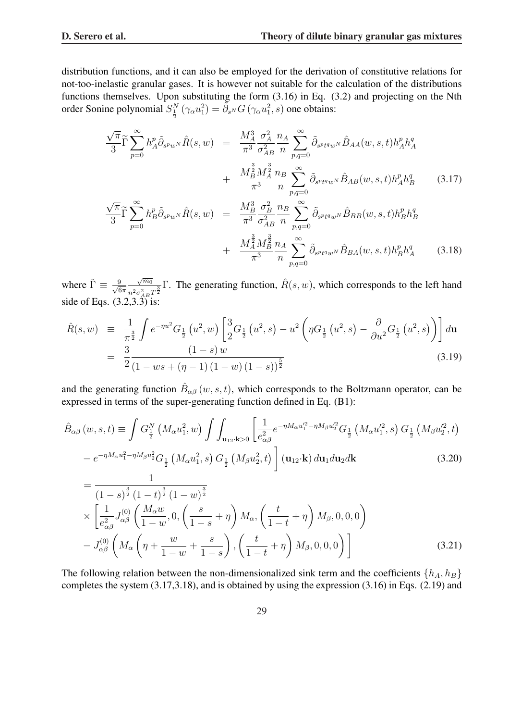distribution functions, and it can also be employed for the derivation of constitutive relations for not-too-inelastic granular gases. It is however not suitable for the calculation of the distributions functions themselves. Upon substituting the form (3.16) in Eq. (3.2) and projecting on the Nth order Sonine polynomial  $S^N_{\frac{1}{2}}(\gamma_\alpha u_1^2) = \tilde{\partial}_{s^N} G(\gamma_\alpha u_1^2, s)$  one obtains:

$$
\frac{\sqrt{\pi}}{3} \widetilde{\Gamma} \sum_{p=0}^{\infty} h_A^p \widetilde{\partial}_{s^p w^N} \hat{R}(s, w) = \frac{M_A^3}{\pi^3} \frac{\sigma_A^2}{\sigma_{AB}^2} \frac{n_A}{n} \sum_{p,q=0}^{\infty} \widetilde{\partial}_{s^p t^q w^N} \hat{B}_{AA}(w, s, t) h_A^p h_A^q
$$

$$
+ \frac{M_B^{\frac{3}{2}} M_A^{\frac{3}{2}}}{\pi^3} \frac{n_B}{n} \sum_{p,q=0}^{\infty} \widetilde{\partial}_{s^p t^q w^N} \hat{B}_{AB}(w, s, t) h_A^p h_B^q \qquad (3.17)
$$

$$
\frac{\sqrt{\pi}}{3} \widetilde{\Gamma} \sum_{p=0}^{\infty} h_B^p \widetilde{\partial}_{s^p w^N} \hat{R}(s, w) = \frac{M_B^3}{\pi^3} \frac{\sigma_B^2}{\sigma_{AB}^2} \frac{n_B}{n} \sum_{p,q=0}^{\infty} \widetilde{\partial}_{s^p t^q w^N} \hat{B}_{BB}(w, s, t) h_B^p h_B^q + \frac{M_A^{\frac{3}{2}} M_B^{\frac{3}{2}}}{\pi^3} \frac{n_A}{n} \sum_{p,q=0}^{\infty} \widetilde{\partial}_{s^p t^q w^N} \hat{B}_{BA}(w, s, t) h_B^p h_A^q \qquad (3.18)
$$

where  $\tilde{\Gamma} \equiv \frac{9}{\sqrt{6}}$  $6\pi$  $\sqrt{m_0}$  $\frac{\sqrt{m_0}}{n^2 \sigma_{AB}^2 T^{\frac{3}{2}}} \Gamma$ . The generating function,  $\hat{R}(s, w)$ , which corresponds to the left hand side of Eqs.  $(3.2,3.\overline{3})$  is:

$$
\hat{R}(s, w) \equiv \frac{1}{\pi^{\frac{3}{2}}} \int e^{-\eta u^2} G_{\frac{1}{2}}(u^2, w) \left[ \frac{3}{2} G_{\frac{1}{2}}(u^2, s) - u^2 \left( \eta G_{\frac{1}{2}}(u^2, s) - \frac{\partial}{\partial u^2} G_{\frac{1}{2}}(u^2, s) \right) \right] d\mathbf{u}
$$
\n
$$
= \frac{3}{2} \frac{(1 - w + (\eta - 1)(1 - w)(1 - s))^{\frac{5}{2}}}{(1 - w + (\eta - 1)(1 - w)(1 - s))^{\frac{5}{2}}}
$$
\n(3.19)

and the generating function  $\hat{B}_{\alpha\beta}(w,s,t)$ , which corresponds to the Boltzmann operator, can be expressed in terms of the super-generating function defined in Eq. (B1):

$$
\hat{B}_{\alpha\beta}(w,s,t) \equiv \int G_{\frac{1}{2}}^{N} \left( M_{\alpha} u_1^2, w \right) \int \int_{\mathbf{u}_{12} \cdot \mathbf{k} > 0} \left[ \frac{1}{e_{\alpha\beta}^2} e^{-\eta M_{\alpha} u_1'^2 - \eta M_{\beta} u_2'^2} G_{\frac{1}{2}} \left( M_{\alpha} u_1'^2, s \right) G_{\frac{1}{2}} \left( M_{\beta} u_2'^2, t \right) \right] \n- e^{-\eta M_{\alpha} u_1^2 - \eta M_{\beta} u_2^2} G_{\frac{1}{2}} \left( M_{\alpha} u_1^2, s \right) G_{\frac{1}{2}} \left( M_{\beta} u_2^2, t \right) \left[ (\mathbf{u}_{12} \cdot \mathbf{k}) du_1 du_2 d\mathbf{k} \tag{3.20}
$$
\n
$$
= \frac{1}{\beta \sqrt{2 \pi}} \sum_{n=0}^{\infty} \frac{1}{n^2} \left( M_{\alpha} u_1'^2, s \right) \frac{1}{n^2} \left( M_{\beta} u_2'^2, s \right) \frac{1}{n^2} \left( M_{\beta} u_2'^2, s \right) \frac{1}{n^2} \left( M_{\beta} u_2'^2, s \right) \frac{1}{n^2} \left( M_{\beta} u_2'^2, s \right) \frac{1}{n^2} \left( M_{\beta} u_2'^2, s \right) \frac{1}{n^2} \left( M_{\beta} u_2'^2, s \right) \frac{1}{n^2} \left( M_{\beta} u_2'^2, s \right) \frac{1}{n^2} \left( M_{\beta} u_2'^2, s \right) \frac{1}{n^2} \left( M_{\beta} u_2'^2, s \right) \frac{1}{n^2} \left( M_{\beta} u_2'^2, s \right) \frac{1}{n^2} \left( M_{\beta} u_2'^2, s \right) \frac{1}{n^2} \left( M_{\beta} u_2'^2, s \right) \frac{1}{n^2} \left( M_{\beta} u_2'^2, s \right) \frac{1}{n^2} \left( M_{\beta} u_2'^2, s \right) \frac{1}{n^2} \left( M_{\beta}
$$

$$
- \frac{(1-s)^{\frac{3}{2}} (1-t)^{\frac{3}{2}} (1-w)^{\frac{3}{2}}}{\times \left[\frac{1}{e_{\alpha\beta}^{2}} J_{\alpha\beta}^{(0)} \left(\frac{M_{\alpha}w}{1-w}, 0, \left(\frac{s}{1-s}+\eta\right)M_{\alpha}, \left(\frac{t}{1-t}+\eta\right)M_{\beta}, 0, 0, 0\right)\right]} - J_{\alpha\beta}^{(0)} \left(M_{\alpha} \left(\eta + \frac{w}{1-w} + \frac{s}{1-s}\right), \left(\frac{t}{1-t}+\eta\right)M_{\beta}, 0, 0, 0\right)\right]
$$
(3.21)

The following relation between the non-dimensionalized sink term and the coefficients  $\{h_A, h_B\}$ completes the system (3.17,3.18), and is obtained by using the expression (3.16) in Eqs. (2.19) and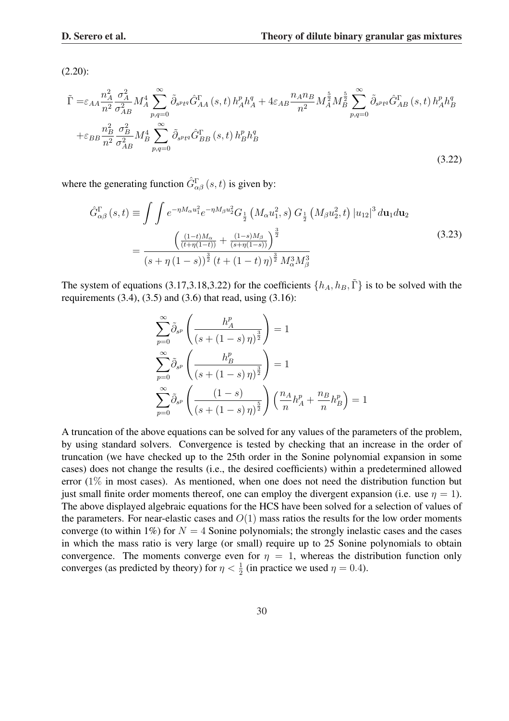(2.20):

$$
\tilde{\Gamma} = \varepsilon_{AA} \frac{n_A^2}{n^2} \frac{\sigma_A^2}{\sigma_{AB}^2} M_A^4 \sum_{p,q=0}^{\infty} \tilde{\partial}_{sptq} \hat{G}_{AA}^{\Gamma}(s,t) h_A^p h_A^q + 4\varepsilon_{AB} \frac{n_A n_B}{n^2} M_A^{\frac{5}{2}} M_B^{\frac{5}{2}} \sum_{p,q=0}^{\infty} \tilde{\partial}_{sptq} \hat{G}_{AB}^{\Gamma}(s,t) h_A^p h_B^q
$$
\n
$$
+ \varepsilon_{BB} \frac{n_B^2}{n^2} \frac{\sigma_B^2}{\sigma_{AB}^2} M_B^4 \sum_{p,q=0}^{\infty} \tilde{\partial}_{sptq} \hat{G}_{BB}^{\Gamma}(s,t) h_B^p h_B^q
$$
\n(3.22)

where the generating function  $\hat{G}_{\alpha\beta}^{\Gamma}(s,t)$  is given by:

$$
\hat{G}_{\alpha\beta}^{\Gamma}(s,t) \equiv \int \int e^{-\eta M_{\alpha} u_1^2} e^{-\eta M_{\beta} u_2^2} G_{\frac{1}{2}} \left(M_{\alpha} u_1^2, s\right) G_{\frac{1}{2}} \left(M_{\beta} u_2^2, t\right) |u_{12}|^3 d\mathbf{u}_1 d\mathbf{u}_2
$$
\n
$$
= \frac{\left(\frac{(1-t)M_{\alpha}}{(t+\eta(1-t))} + \frac{(1-s)M_{\beta}}{(s+\eta(1-s))}\right)^{\frac{3}{2}}}{\left(s+\eta(1-s)\right)^{\frac{3}{2}} \left(t+(1-t)\eta\right)^{\frac{3}{2}} M_{\alpha}^3 M_{\beta}^3}
$$
\n(3.23)

The system of equations (3.17,3.18,3.22) for the coefficients  $\{h_A, h_B, \tilde{\Gamma}\}\$ is to be solved with the requirements  $(3.4)$ ,  $(3.5)$  and  $(3.6)$  that read, using  $(3.16)$ :

$$
\sum_{p=0}^{\infty} \tilde{\partial}_{s^p} \left( \frac{h_A^p}{(s + (1 - s) \eta)^{\frac{3}{2}}} \right) = 1
$$
  

$$
\sum_{p=0}^{\infty} \tilde{\partial}_{s^p} \left( \frac{h_B^p}{(s + (1 - s) \eta)^{\frac{3}{2}}} \right) = 1
$$
  

$$
\sum_{p=0}^{\infty} \tilde{\partial}_{s^p} \left( \frac{(1 - s)}{(s + (1 - s) \eta)^{\frac{5}{2}}} \right) \left( \frac{n_A}{n} h_A^p + \frac{n_B}{n} h_B^p \right) = 1
$$

A truncation of the above equations can be solved for any values of the parameters of the problem, by using standard solvers. Convergence is tested by checking that an increase in the order of truncation (we have checked up to the 25th order in the Sonine polynomial expansion in some cases) does not change the results (i.e., the desired coefficients) within a predetermined allowed error  $(1\%$  in most cases). As mentioned, when one does not need the distribution function but just small finite order moments thereof, one can employ the divergent expansion (i.e. use  $\eta = 1$ ). The above displayed algebraic equations for the HCS have been solved for a selection of values of the parameters. For near-elastic cases and  $O(1)$  mass ratios the results for the low order moments converge (to within 1%) for  $N = 4$  Sonine polynomials; the strongly inelastic cases and the cases in which the mass ratio is very large (or small) require up to 25 Sonine polynomials to obtain convergence. The moments converge even for  $\eta = 1$ , whereas the distribution function only converges (as predicted by theory) for  $\eta < \frac{1}{2}$  (in practice we used  $\eta = 0.4$ ).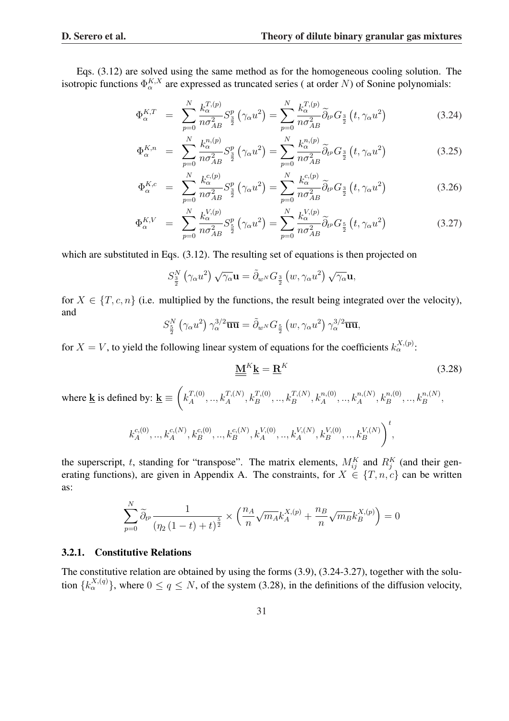Eqs. (3.12) are solved using the same method as for the homogeneous cooling solution. The isotropic functions  $\Phi_{\alpha}^{K,X}$  are expressed as truncated series ( at order N) of Sonine polynomials:

$$
\Phi_{\alpha}^{K,T} = \sum_{p=0}^{N} \frac{k_{\alpha}^{T,(p)}}{n \sigma_{AB}^{2}} S_{\frac{3}{2}}^{p} (\gamma_{\alpha} u^{2}) = \sum_{p=0}^{N} \frac{k_{\alpha}^{T,(p)}}{n \sigma_{AB}^{2}} \widetilde{\partial}_{t} P G_{\frac{3}{2}}(t, \gamma_{\alpha} u^{2})
$$
(3.24)

$$
\Phi_{\alpha}^{K,n} = \sum_{p=0}^{N} \frac{k_{\alpha}^{n,(p)}}{n \sigma_{AB}^{2}} S_{\frac{3}{2}}^{p} (\gamma_{\alpha} u^{2}) = \sum_{p=0}^{N} \frac{k_{\alpha}^{n,(p)}}{n \sigma_{AB}^{2}} \tilde{\partial}_{t}^{p} G_{\frac{3}{2}}(t, \gamma_{\alpha} u^{2})
$$
(3.25)

$$
\Phi_{\alpha}^{K,c} = \sum_{p=0}^{N} \frac{k_{\alpha}^{c,(p)}}{n \sigma_{AB}^{2}} S_{\frac{3}{2}}^{p} (\gamma_{\alpha} u^{2}) = \sum_{p=0}^{N} \frac{k_{\alpha}^{c,(p)}}{n \sigma_{AB}^{2}} \widetilde{\partial}_{t}^{p} G_{\frac{3}{2}}(t, \gamma_{\alpha} u^{2})
$$
(3.26)

$$
\Phi_{\alpha}^{K,V} = \sum_{p=0}^{N} \frac{k_{\alpha}^{V,(p)}}{n \sigma_{AB}^{2}} S_{\frac{5}{2}}^{p} (\gamma_{\alpha} u^{2}) = \sum_{p=0}^{N} \frac{k_{\alpha}^{V,(p)}}{n \sigma_{AB}^{2}} \widetilde{\partial}_{t}^{p} G_{\frac{5}{2}}(t, \gamma_{\alpha} u^{2})
$$
(3.27)

which are substituted in Eqs.  $(3.12)$ . The resulting set of equations is then projected on

$$
S_{\frac{3}{2}}^{N}\left(\gamma_{\alpha}u^{2}\right)\sqrt{\gamma_{\alpha}}\mathbf{u}=\tilde{\partial}_{w^{N}}G_{\frac{3}{2}}\left(w,\gamma_{\alpha}u^{2}\right)\sqrt{\gamma_{\alpha}}\mathbf{u},
$$

for  $X \in \{T, c, n\}$  (i.e. multiplied by the functions, the result being integrated over the velocity), and ¡ ¢ ¡ ¢

$$
S_{\frac{5}{2}}^{N}\left(\gamma_{\alpha}u^{2}\right)\gamma_{\alpha}^{3/2}\overline{\mathbf{u}\mathbf{u}}=\widetilde{\partial}_{w^{N}}G_{\frac{5}{2}}\left(w,\gamma_{\alpha}u^{2}\right)\gamma_{\alpha}^{3/2}\overline{\mathbf{u}\mathbf{u}},
$$

for  $X = V$ , to yield the following linear system of equations for the coefficients  $k_{\alpha}^{X,(p)}$ :

$$
\underline{\underline{\mathbf{M}}}^K \underline{\mathbf{k}} = \underline{\mathbf{R}}^K \tag{3.28}
$$

where  $\underline{k}$  is defined by:  $\underline{k} \equiv$  $\overline{a}$  $k_{A}^{T,(0)}$  $\mathcal{L}^{T,(0)}_A,..,k^{T,(N)}_A,k^{T,(0)}_B,..,k^{T,(N)}_B,k^{n,(0)}_A,..,k^{n,(N)}_A,k^{n,(0)}_B,..,k^{n,(N)}_B,$  $\sqrt{t}$ 

$$
k_A^{c,(0)}, \ldots, k_A^{c,(N)}, k_B^{c,(0)}, \ldots, k_B^{c,(N)}, k_A^{V,(0)}, \ldots, k_A^{V,(N)}, k_B^{V,(0)}, \ldots, k_B^{V,(N)} \bigg)^t
$$
,

the superscript, t, standing for "transpose". The matrix elements,  $M_{ij}^K$  and  $R_j^K$  (and their generating functions), are given in Appendix A. The constraints, for  $X \in \{T, n, c\}$  can be written as:

$$
\sum_{p=0}^N \widetilde{\partial}_{t^p} \frac{1}{\left(\eta_2\left(1-t\right)+t\right)^{\frac{5}{2}}}\times \left(\frac{n_A}{n}\sqrt{m_A}k_A^{X,(p)}+\frac{n_B}{n}\sqrt{m_B}k_B^{X,(p)}\right)=0
$$

#### 3.2.1. Constitutive Relations

The constitutive relation are obtained by using the forms (3.9), (3.24-3.27), together with the solution  $\{k_\alpha^{X,(q)}\}$ , where  $0 \le q \le N$ , of the system (3.28), in the definitions of the diffusion velocity,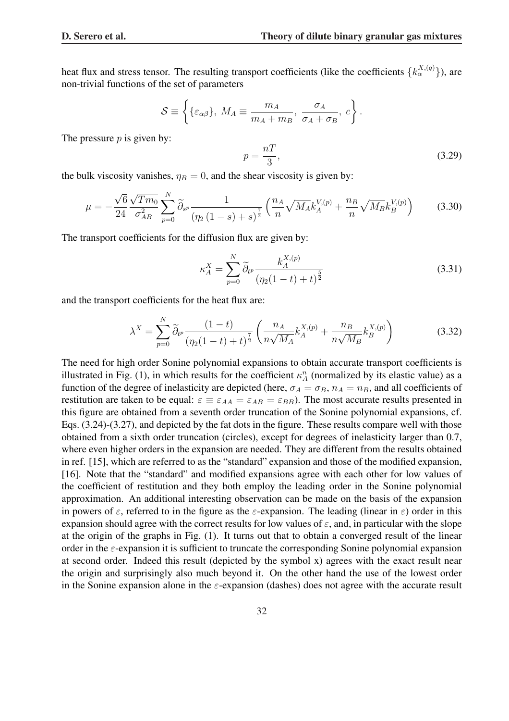heat flux and stress tensor. The resulting transport coefficients (like the coefficients  $\{k_\alpha^{X,(q)}\}$ ), are non-trivial functions of the set of parameters

$$
S \equiv \left\{ \{\varepsilon_{\alpha\beta}\}, \ M_A \equiv \frac{m_A}{m_A + m_B}, \ \frac{\sigma_A}{\sigma_A + \sigma_B}, \ c \right\}.
$$

The pressure  $p$  is given by:

$$
p = \frac{n}{3},\tag{3.29}
$$

the bulk viscosity vanishes,  $\eta_B = 0$ , and the shear viscosity is given by:

$$
\mu = -\frac{\sqrt{6}}{24} \frac{\sqrt{Tm_0}}{\sigma_{AB}^2} \sum_{p=0}^N \tilde{\partial}_{s^p} \frac{1}{(\eta_2 (1-s) + s)^{\frac{7}{2}}} \left( \frac{n_A}{n} \sqrt{M_A} k_A^{V,(p)} + \frac{n_B}{n} \sqrt{M_B} k_B^{V,(p)} \right) \tag{3.30}
$$

The transport coefficients for the diffusion flux are given by:

$$
\kappa_A^X = \sum_{p=0}^N \widetilde{\partial}_{t^p} \frac{k_A^{X,(p)}}{(\eta_2(1-t)+t)^{\frac{5}{2}}} \tag{3.31}
$$

and the transport coefficients for the heat flux are:

$$
\lambda^{X} = \sum_{p=0}^{N} \widetilde{\partial}_{t^{p}} \frac{(1-t)}{(\eta_{2}(1-t)+t)^{\frac{7}{2}}} \left( \frac{n_{A}}{n\sqrt{M_{A}}} k_{A}^{X,(p)} + \frac{n_{B}}{n\sqrt{M_{B}}} k_{B}^{X,(p)} \right)
$$
(3.32)

The need for high order Sonine polynomial expansions to obtain accurate transport coefficients is illustrated in Fig. (1), in which results for the coefficient  $\kappa_A^n$  (normalized by its elastic value) as a function of the degree of inelasticity are depicted (here,  $\sigma_A = \sigma_B$ ,  $n_A = n_B$ , and all coefficients of restitution are taken to be equal:  $\varepsilon \equiv \varepsilon_{AA} = \varepsilon_{AB} = \varepsilon_{BB}$ ). The most accurate results presented in this figure are obtained from a seventh order truncation of the Sonine polynomial expansions, cf. Eqs. (3.24)-(3.27), and depicted by the fat dots in the figure. These results compare well with those obtained from a sixth order truncation (circles), except for degrees of inelasticity larger than 0.7, where even higher orders in the expansion are needed. They are different from the results obtained in ref. [15], which are referred to as the "standard" expansion and those of the modified expansion, [16]. Note that the "standard" and modified expansions agree with each other for low values of the coefficient of restitution and they both employ the leading order in the Sonine polynomial approximation. An additional interesting observation can be made on the basis of the expansion in powers of  $\varepsilon$ , referred to in the figure as the  $\varepsilon$ -expansion. The leading (linear in  $\varepsilon$ ) order in this expansion should agree with the correct results for low values of  $\varepsilon$ , and, in particular with the slope at the origin of the graphs in Fig. (1). It turns out that to obtain a converged result of the linear order in the  $\varepsilon$ -expansion it is sufficient to truncate the corresponding Sonine polynomial expansion at second order. Indeed this result (depicted by the symbol x) agrees with the exact result near the origin and surprisingly also much beyond it. On the other hand the use of the lowest order in the Sonine expansion alone in the  $\varepsilon$ -expansion (dashes) does not agree with the accurate result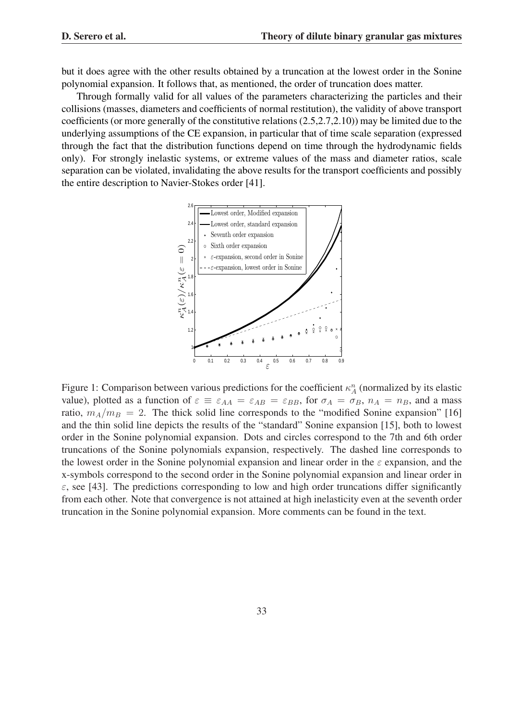but it does agree with the other results obtained by a truncation at the lowest order in the Sonine polynomial expansion. It follows that, as mentioned, the order of truncation does matter.

Through formally valid for all values of the parameters characterizing the particles and their collisions (masses, diameters and coefficients of normal restitution), the validity of above transport coefficients (or more generally of the constitutive relations (2.5,2.7,2.10)) may be limited due to the underlying assumptions of the CE expansion, in particular that of time scale separation (expressed through the fact that the distribution functions depend on time through the hydrodynamic fields only). For strongly inelastic systems, or extreme values of the mass and diameter ratios, scale separation can be violated, invalidating the above results for the transport coefficients and possibly the entire description to Navier-Stokes order [41].



Figure 1: Comparison between various predictions for the coefficient  $\kappa_A^n$  (normalized by its elastic value), plotted as a function of  $\varepsilon \equiv \varepsilon_{AA} = \varepsilon_{AB} = \varepsilon_{BB}$ , for  $\sigma_A = \sigma_B$ ,  $n_A = n_B$ , and a mass ratio,  $m_A/m_B = 2$ . The thick solid line corresponds to the "modified Sonine expansion" [16] and the thin solid line depicts the results of the "standard" Sonine expansion [15], both to lowest order in the Sonine polynomial expansion. Dots and circles correspond to the 7th and 6th order truncations of the Sonine polynomials expansion, respectively. The dashed line corresponds to the lowest order in the Sonine polynomial expansion and linear order in the  $\varepsilon$  expansion, and the x-symbols correspond to the second order in the Sonine polynomial expansion and linear order in  $\varepsilon$ , see [43]. The predictions corresponding to low and high order truncations differ significantly from each other. Note that convergence is not attained at high inelasticity even at the seventh order truncation in the Sonine polynomial expansion. More comments can be found in the text.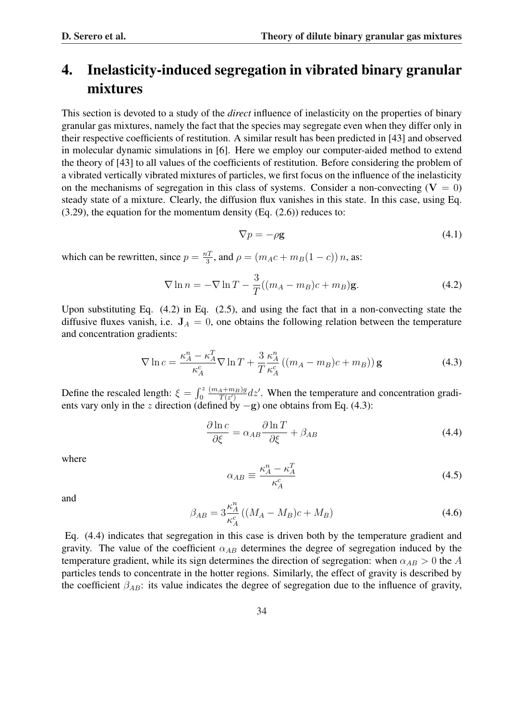# 4. Inelasticity-induced segregation in vibrated binary granular mixtures

This section is devoted to a study of the *direct* influence of inelasticity on the properties of binary granular gas mixtures, namely the fact that the species may segregate even when they differ only in their respective coefficients of restitution. A similar result has been predicted in [43] and observed in molecular dynamic simulations in [6]. Here we employ our computer-aided method to extend the theory of [43] to all values of the coefficients of restitution. Before considering the problem of a vibrated vertically vibrated mixtures of particles, we first focus on the influence of the inelasticity on the mechanisms of segregation in this class of systems. Consider a non-convecting ( $V = 0$ ) steady state of a mixture. Clearly, the diffusion flux vanishes in this state. In this case, using Eq.  $(3.29)$ , the equation for the momentum density (Eq.  $(2.6)$ ) reduces to:

$$
\nabla p = -\rho \mathbf{g} \tag{4.1}
$$

which can be rewritten, since  $p = \frac{nT}{3}$  $\frac{dT}{3}$ , and  $\rho = (m_A c + m_B(1 - c)) n$ , as:

$$
\nabla \ln n = -\nabla \ln T - \frac{3}{T}((m_A - m_B)c + m_B)\mathbf{g}.
$$
\n(4.2)

Upon substituting Eq. (4.2) in Eq. (2.5), and using the fact that in a non-convecting state the diffusive fluxes vanish, i.e.  $J_A = 0$ , one obtains the following relation between the temperature and concentration gradients:

$$
\nabla \ln c = \frac{\kappa_A^n - \kappa_A^T}{\kappa_A^c} \nabla \ln T + \frac{3}{T} \frac{\kappa_A^n}{\kappa_A^c} \left( (m_A - m_B)c + m_B \right) \mathbf{g}
$$
(4.3)

Define the rescaled length:  $\xi = \int_0^z$  $\boldsymbol{0}$  $(m_A+m_B)g$  $\frac{A^{+m}B^{j}g}{T(z')}dz'$ . When the temperature and concentration gradients vary only in the z direction (defined by  $-g$ ) one obtains from Eq. (4.3):

$$
\frac{\partial \ln c}{\partial \xi} = \alpha_{AB} \frac{\partial \ln T}{\partial \xi} + \beta_{AB} \tag{4.4}
$$

where

$$
\alpha_{AB} \equiv \frac{\kappa_A^n - \kappa_A^T}{\kappa_A^c} \tag{4.5}
$$

and

$$
\beta_{AB} = 3 \frac{\kappa_A^n}{\kappa_A^c} ((M_A - M_B)c + M_B)
$$
\n(4.6)

Eq. (4.4) indicates that segregation in this case is driven both by the temperature gradient and gravity. The value of the coefficient  $\alpha_{AB}$  determines the degree of segregation induced by the temperature gradient, while its sign determines the direction of segregation: when  $\alpha_{AB} > 0$  the A particles tends to concentrate in the hotter regions. Similarly, the effect of gravity is described by the coefficient  $\beta_{AB}$ : its value indicates the degree of segregation due to the influence of gravity,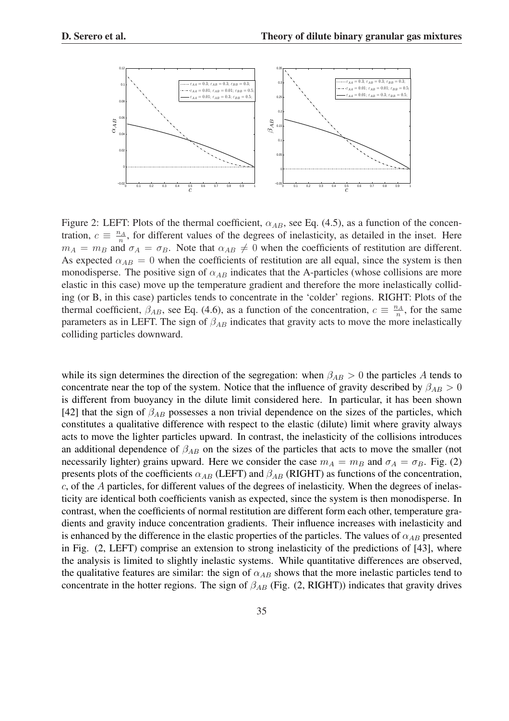

Figure 2: LEFT: Plots of the thermal coefficient,  $\alpha_{AB}$ , see Eq. (4.5), as a function of the concentration,  $c \equiv \frac{n_A}{n}$  $\frac{h_A}{n}$ , for different values of the degrees of inelasticity, as detailed in the inset. Here  $m_A = m_B$  and  $\sigma_A = \sigma_B$ . Note that  $\alpha_{AB} \neq 0$  when the coefficients of restitution are different. As expected  $\alpha_{AB} = 0$  when the coefficients of restitution are all equal, since the system is then monodisperse. The positive sign of  $\alpha_{AB}$  indicates that the A-particles (whose collisions are more elastic in this case) move up the temperature gradient and therefore the more inelastically colliding (or B, in this case) particles tends to concentrate in the 'colder' regions. RIGHT: Plots of the thermal coefficient,  $\beta_{AB}$ , see Eq. (4.6), as a function of the concentration,  $c \equiv \frac{n_A}{n}$  $\frac{h_A}{n}$ , for the same parameters as in LEFT. The sign of  $\beta_{AB}$  indicates that gravity acts to move the more inelastically colliding particles downward.

while its sign determines the direction of the segregation: when  $\beta_{AB} > 0$  the particles A tends to concentrate near the top of the system. Notice that the influence of gravity described by  $\beta_{AB} > 0$ is different from buoyancy in the dilute limit considered here. In particular, it has been shown [42] that the sign of  $\beta_{AB}$  possesses a non trivial dependence on the sizes of the particles, which constitutes a qualitative difference with respect to the elastic (dilute) limit where gravity always acts to move the lighter particles upward. In contrast, the inelasticity of the collisions introduces an additional dependence of  $\beta_{AB}$  on the sizes of the particles that acts to move the smaller (not necessarily lighter) grains upward. Here we consider the case  $m_A = m_B$  and  $\sigma_A = \sigma_B$ . Fig. (2) presents plots of the coefficients  $\alpha_{AB}$  (LEFT) and  $\beta_{AB}$  (RIGHT) as functions of the concentration,  $c$ , of the  $\Lambda$  particles, for different values of the degrees of inelasticity. When the degrees of inelasticity are identical both coefficients vanish as expected, since the system is then monodisperse. In contrast, when the coefficients of normal restitution are different form each other, temperature gradients and gravity induce concentration gradients. Their influence increases with inelasticity and is enhanced by the difference in the elastic properties of the particles. The values of  $\alpha_{AB}$  presented in Fig. (2, LEFT) comprise an extension to strong inelasticity of the predictions of [43], where the analysis is limited to slightly inelastic systems. While quantitative differences are observed, the qualitative features are similar: the sign of  $\alpha_{AB}$  shows that the more inelastic particles tend to concentrate in the hotter regions. The sign of  $\beta_{AB}$  (Fig. (2, RIGHT)) indicates that gravity drives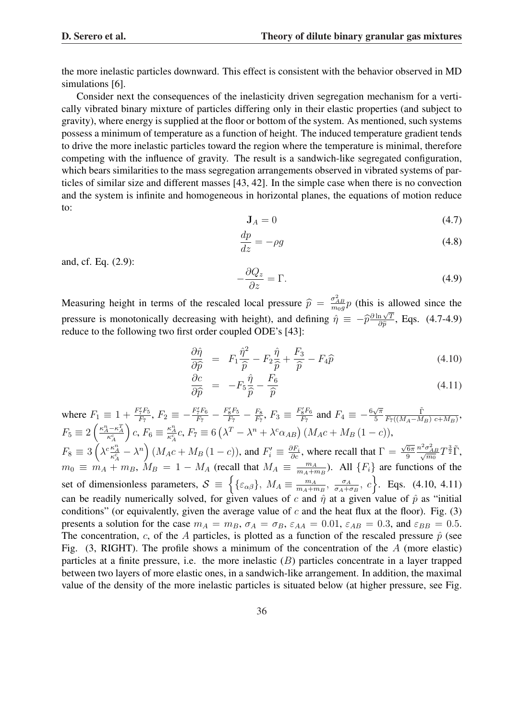the more inelastic particles downward. This effect is consistent with the behavior observed in MD simulations [6].

Consider next the consequences of the inelasticity driven segregation mechanism for a vertically vibrated binary mixture of particles differing only in their elastic properties (and subject to gravity), where energy is supplied at the floor or bottom of the system. As mentioned, such systems possess a minimum of temperature as a function of height. The induced temperature gradient tends to drive the more inelastic particles toward the region where the temperature is minimal, therefore competing with the influence of gravity. The result is a sandwich-like segregated configuration, which bears similarities to the mass segregation arrangements observed in vibrated systems of particles of similar size and different masses [43, 42]. In the simple case when there is no convection and the system is infinite and homogeneous in horizontal planes, the equations of motion reduce to:

$$
\mathbf{J}_A = 0 \tag{4.7}
$$

$$
\frac{dp}{dz} = -\rho g \tag{4.8}
$$

and, cf. Eq. (2.9):

$$
-\frac{\partial Q_z}{\partial z} = \Gamma.
$$
\n(4.9)

Measuring height in terms of the rescaled local pressure  $\hat{p} = \frac{\sigma_{AB}^2}{mg}p$  (this is allowed since the pressure is monotonically decreasing with height), and defining  $\hat{\eta} = -\hat{p} \frac{\partial \ln \sqrt{T}}{\partial \hat{\eta}}$  $rac{\text{ln }\sqrt{T}}{\partial \hat{p}}$ , Eqs. (4.7-4.9) reduce to the following two first order coupled ODE's [43]:

$$
\frac{\partial \hat{\eta}}{\partial \hat{p}} = F_1 \frac{\hat{\eta}^2}{\hat{p}} - F_2 \frac{\hat{\eta}}{\hat{p}} + \frac{F_3}{\hat{p}} - F_4 \hat{p}
$$
\n(4.10)

$$
\frac{\partial c}{\partial \widehat{p}} = -F_5 \frac{\widehat{\eta}}{\widehat{p}} - \frac{F_6}{\widehat{p}} \tag{4.11}
$$

where  $F_1 \equiv 1 + \frac{F_7' F_5}{F_7}$  $\frac{F_7F_5}{F_7},\,F_2\,\equiv\,-\frac{F_7'F_6}{F_7}$  $\frac{F_7'F_6}{F_7}-\frac{F_8'F_5}{F_7}$  $\frac{F_8}{F_7}-\frac{F_8}{F_7}$  $\frac{F_8}{F_7}, F_3 \equiv \frac{F'_8 F_6}{F_7}$  $F_8^{'}F_6$  and  $F_4 \equiv -\frac{6\sqrt{\pi}}{5}$ 5  $\tilde{\Gamma}$  $F_1 \equiv 1 + \frac{F_7F_5}{F_7}, F_2 \equiv -\frac{F_7F_6}{F_7} - \frac{F_8F_5}{F_7} - \frac{F_8}{F_7}, F_3 \equiv \frac{F_8F_6}{F_7}$  and  $F_4 \equiv -\frac{6\sqrt{\pi}}{5} \frac{\Gamma}{F_7((M_A-M_B) c+M_B)},$  $F_5\equiv 2\left(\frac{\kappa_{A}^{n}-\kappa_{A}^{T}}{\kappa_{A}^{c}}\right)c, F_6\equiv\frac{\kappa_{A}^{n}}{\kappa_{A}^{c}}c, F_7\equiv 6$ ¡  $\lambda^T - \lambda^n + \lambda^c \alpha_{AB} (M_A c + M_B (1-c)),$  $F_8 \equiv 3$  $\backslash$  $\lambda^c \frac{\kappa_A^n}{\kappa_A^c} - \lambda^n$ ´  $(M_A c + M_B (1 - c))$ , and  $F'_i \equiv \frac{\partial F_i}{\partial c}$ , where recall that  $\Gamma =$  $\sqrt{6\pi}$ 9  $\frac{n^2\sigma^2_{AB}}{\sqrt{m_0}}T^{\frac{3}{2}}\tilde{\Gamma},$  $m_0 \equiv m_A + m_B$ ,  $M_B = 1 - M_A$  (recall that  $M_A \equiv \frac{m_A}{m_A + m_B}$  $m_0 \equiv m_A + m_B$ ,  $M_B = 1 - M_A$  (recall that  $M_A \equiv \frac{m_A}{m_A + m_B}$ ). All  $\{F_i\}$  are functions of the set of dimensionless parameters,  $S \equiv \{ \{\varepsilon_{\alpha\beta}\}, M_A \equiv \frac{m_A}{m_A + m_B}, \frac{\sigma_A}{\sigma_A + \sigma_B}, c \}$ . Eqs. (4.10, 4.11)  $\frac{m_A}{m_A+m_B}$ ,  $\frac{\sigma_A}{\sigma_A+\sigma_A}$ An  $\left\{r_i\right\}$  are functions of the<br> $\left\{\frac{\sigma_A}{\sigma_A+\sigma_B}, c\right\}$ . Eqs. (4.10, 4.11) can be readily numerically solved, for given values of c and  $\hat{\eta}$  at a given value of  $\hat{p}$  as "initial conditions" (or equivalently, given the average value of c and the heat flux at the floor). Fig. (3)

presents a solution for the case  $m_A = m_B$ ,  $\sigma_A = \sigma_B$ ,  $\varepsilon_{AA} = 0.01$ ,  $\varepsilon_{AB} = 0.3$ , and  $\varepsilon_{BB} = 0.5$ . The concentration, c, of the A particles, is plotted as a function of the rescaled pressure  $\hat{p}$  (see Fig.  $(3, RIGHT)$ . The profile shows a minimum of the concentration of the A (more elastic) particles at a finite pressure, i.e. the more inelastic  $(B)$  particles concentrate in a layer trapped between two layers of more elastic ones, in a sandwich-like arrangement. In addition, the maximal value of the density of the more inelastic particles is situated below (at higher pressure, see Fig.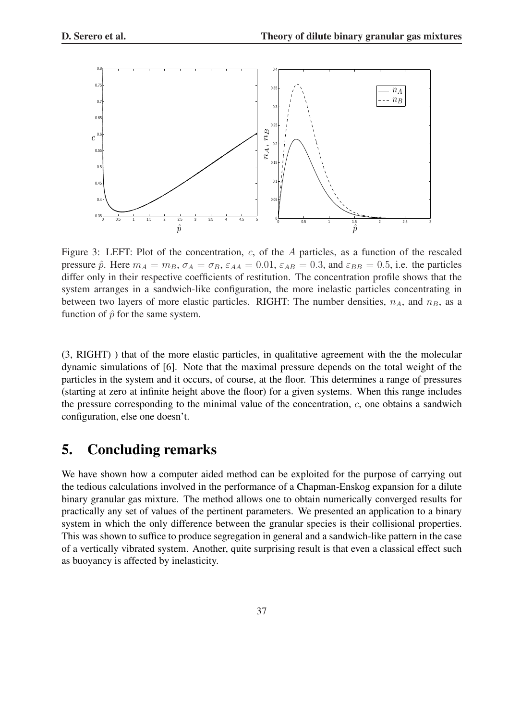

Figure 3: LEFT: Plot of the concentration,  $c$ , of the A particles, as a function of the rescaled pressure  $\hat{p}$ . Here  $m_A = m_B$ ,  $\sigma_A = \sigma_B$ ,  $\varepsilon_{AA} = 0.01$ ,  $\varepsilon_{AB} = 0.3$ , and  $\varepsilon_{BB} = 0.5$ , i.e. the particles differ only in their respective coefficients of restitution. The concentration profile shows that the system arranges in a sandwich-like configuration, the more inelastic particles concentrating in between two layers of more elastic particles. RIGHT: The number densities,  $n_A$ , and  $n_B$ , as a function of  $\hat{p}$  for the same system.

(3, RIGHT) ) that of the more elastic particles, in qualitative agreement with the the molecular dynamic simulations of [6]. Note that the maximal pressure depends on the total weight of the particles in the system and it occurs, of course, at the floor. This determines a range of pressures (starting at zero at infinite height above the floor) for a given systems. When this range includes the pressure corresponding to the minimal value of the concentration,  $c$ , one obtains a sandwich configuration, else one doesn't.

## 5. Concluding remarks

We have shown how a computer aided method can be exploited for the purpose of carrying out the tedious calculations involved in the performance of a Chapman-Enskog expansion for a dilute binary granular gas mixture. The method allows one to obtain numerically converged results for practically any set of values of the pertinent parameters. We presented an application to a binary system in which the only difference between the granular species is their collisional properties. This was shown to suffice to produce segregation in general and a sandwich-like pattern in the case of a vertically vibrated system. Another, quite surprising result is that even a classical effect such as buoyancy is affected by inelasticity.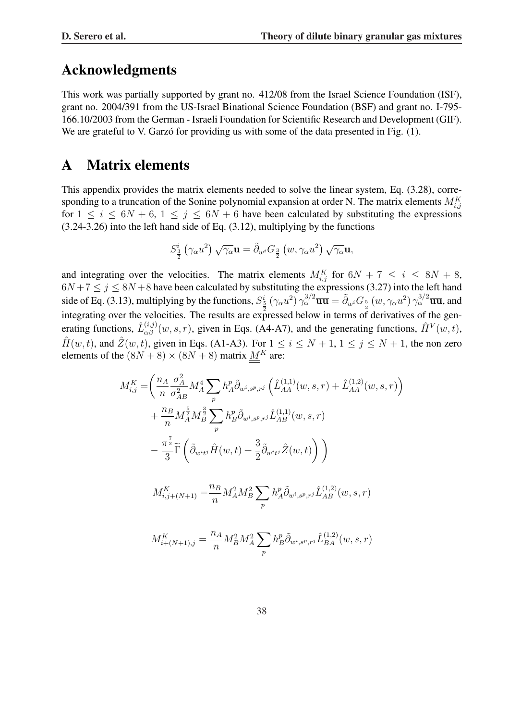## Acknowledgments

This work was partially supported by grant no. 412/08 from the Israel Science Foundation (ISF), grant no. 2004/391 from the US-Israel Binational Science Foundation (BSF) and grant no. I-795- 166.10/2003 from the German - Israeli Foundation for Scientific Research and Development (GIF). We are grateful to V. Garzo for providing us with some of the data presented in Fig. (1).

### A Matrix elements

This appendix provides the matrix elements needed to solve the linear system, Eq. (3.28), corresponding to a truncation of the Sonine polynomial expansion at order N. The matrix elements  $M_{i,j}^K$ for  $1 \le i \le 6N + 6$ ,  $1 \le j \le 6N + 6$  have been calculated by substituting the expressions (3.24-3.26) into the left hand side of Eq. (3.12), multiplying by the functions

$$
S_{\frac{3}{2}}^{i}\left(\gamma_{\alpha}u^{2}\right)\sqrt{\gamma_{\alpha}}\mathbf{u}=\tilde{\partial}_{w^{i}}G_{\frac{3}{2}}\left(w,\gamma_{\alpha}u^{2}\right)\sqrt{\gamma_{\alpha}}\mathbf{u},
$$

and integrating over the velocities. The matrix elements  $M_{i,j}^K$  for  $6N + 7 \le i \le 8N + 8$ ,  $6N+7 \le j \le 8N+8$  have been calculated by substituting the expressions (3.27) into the left hand side of Eq. (3.13), multiplying by the functions,  $S^i_{\frac{5}{2}}(\gamma_\alpha u^2)\gamma_\alpha^{3/2}\overline{\mathbf{u}\mathbf{u}} = \tilde{\partial}_{w^i}G_{\frac{5}{2}}(w,\gamma_\alpha u^2)\gamma_\alpha^{3/2}\overline{\mathbf{u}\mathbf{u}}$ , and integrating over the velocities. The results are expressed below in terms of derivatives of the generating functions,  $\hat{L}_{\alpha\beta}^{(i,j)}(w,s,r)$ , given in Eqs. (A4-A7), and the generating functions,  $\hat{H}^V(w,t)$ ,  $\hat{H}(w, t)$ , and  $\hat{Z}(w, t)$ , given in Eqs. (A1-A3). For  $1 \le i \le N+1$ ,  $1 \le j \le N+1$ , the non zero elements of the  $(8N + 8) \times (8N + 8)$  matrix  $M^K$  are:

$$
M_{i,j}^{K} = \left(\frac{n_A}{n} \frac{\sigma_A^2}{\sigma_{AB}^2} M_A^4 \sum_p h_A^p \tilde{\partial}_{w^i, s^p, r^j} \left(\hat{L}_{AA}^{(1,1)}(w, s, r) + \hat{L}_{AA}^{(1,2)}(w, s, r)\right) \right. \\
\left. + \frac{n_B}{n} M_A^{\frac{5}{2}} M_B^{\frac{3}{2}} \sum_p h_B^p \tilde{\partial}_{w^i, s^p, r^j} \hat{L}_{AB}^{(1,1)}(w, s, r) \right. \\
\left. - \frac{\pi^{\frac{7}{2}}}{3} \tilde{\Gamma} \left(\tilde{\partial}_{w^i t^j} \hat{H}(w, t) + \frac{3}{2} \tilde{\partial}_{w^i t^j} \hat{Z}(w, t)\right)\right) \\
M_{i,j+(N+1)}^{K} = \frac{n_B}{n} M_A^2 M_B^2 \sum_p h_A^p \tilde{\partial}_{w^i, s^p, r^j} \hat{L}_{AB}^{(1,2)}(w, s, r) \\
M_{i+(N+1),j}^{K} = \frac{n_A}{n} M_B^2 M_A^2 \sum_p h_B^p \tilde{\partial}_{w^i, s^p, r^j} \hat{L}_{BA}^{(1,2)}(w, s, r)
$$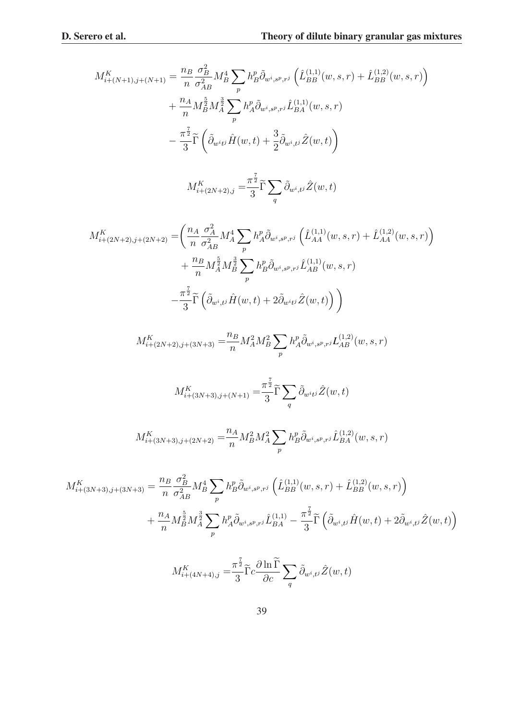$$
M_{i+(N+1),j+(N+1)}^{K} = \frac{n_B}{n} \frac{\sigma_B^2}{\sigma_{AB}^2} M_B^4 \sum_p h_B^p \tilde{\partial}_{w^i,s^p,r^j} \left( \hat{L}_{BB}^{(1,1)}(w,s,r) + \hat{L}_{BB}^{(1,2)}(w,s,r) \right)
$$
  
+ 
$$
\frac{n_A}{n} M_B^{\frac{5}{2}} M_A^{\frac{3}{2}} \sum_p h_A^p \tilde{\partial}_{w^i,s^p,r^j} \hat{L}_{BA}^{(1,1)}(w,s,r)
$$
  
- 
$$
\frac{\pi^{\frac{7}{2}}}{3} \tilde{\Gamma} \left( \tilde{\partial}_{w^i t^j} \hat{H}(w,t) + \frac{3}{2} \tilde{\partial}_{w^i,t^j} \hat{Z}(w,t) \right)
$$
  

$$
M_{i+(2N+2),j}^{K} = \frac{\pi^{\frac{7}{2}}}{3} \tilde{\Gamma} \sum_q \tilde{\partial}_{w^i,t^j} \hat{Z}(w,t)
$$

$$
M_{i+(2N+2),j+(2N+2)}^{K} = \left(\frac{n_A}{n} \frac{\sigma_A^2}{\sigma_{AB}^2} M_A^4 \sum_p h_A^p \tilde{\partial}_{w^i,s^p,r^j} \left(\hat{L}_{AA}^{(1,1)}(w,s,r) + \hat{L}_{AA}^{(1,2)}(w,s,r)\right) + \frac{n_B}{n} M_A^{\frac{5}{2}} M_B^{\frac{3}{2}} \sum_p h_B^p \tilde{\partial}_{w^i,s^p,r^j} \hat{L}_{AB}^{(1,1)}(w,s,r) - \frac{\pi^{\frac{7}{2}}}{3} \tilde{\Gamma} \left(\tilde{\partial}_{w^i,t^j} \hat{H}(w,t) + 2\tilde{\partial}_{w^i t^j} \hat{Z}(w,t)\right)\right)
$$

$$
M^K_{i+(2N+2),j+(3N+3)} = \frac{n_B}{n} M_A^2 M_B^2 \sum_p h_A^p \tilde{\partial}_{w^i,s^p,r^j} L_{AB}^{(1,2)}(w,s,r)
$$

$$
M^K_{i+(3N+3),j+(N+1)} = \frac{\pi^{\frac{7}{2}}}{3}\widetilde{\Gamma} \sum_q \widetilde{\partial}_{w^i t^j} \hat{Z}(w,t)
$$

$$
M_{i+(3N+3),j+(2N+2)}^{K} = \frac{n_A}{n} M_B^2 M_A^2 \sum_p h_B^p \tilde{\partial}_{w^i,s^p,r^j} \hat{L}_{BA}^{(1,2)}(w,s,r)
$$

$$
M_{i+(3N+3),j+(3N+3)}^{K} = \frac{n_B}{n} \frac{\sigma_B^2}{\sigma_{AB}^2} M_B^4 \sum_p h_B^p \tilde{\partial}_{w^i,s^p,r^j} \left( \hat{L}_{BB}^{(1,1)}(w,s,r) + \hat{L}_{BB}^{(1,2)}(w,s,r) \right)
$$
  
+ 
$$
\frac{n_A}{n} M_B^{\frac{5}{2}} M_A^{\frac{3}{2}} \sum_p h_A^p \tilde{\partial}_{w^i,s^p,r^j} \hat{L}_{BA}^{(1,1)} - \frac{\pi^{\frac{7}{2}}}{3} \tilde{\Gamma} \left( \tilde{\partial}_{w^i,t^j} \hat{H}(w,t) + 2 \tilde{\partial}_{w^i,t^j} \hat{Z}(w,t) \right)
$$

$$
M^K_{i+(4N+4),j} = \frac{\pi^{\frac{7}{2}}}{3} \widetilde{\Gamma} c \frac{\partial \ln \widetilde{\Gamma}}{\partial c} \sum_{q} \widetilde{\partial}_{w^i,t^j} \hat{Z}(w,t)
$$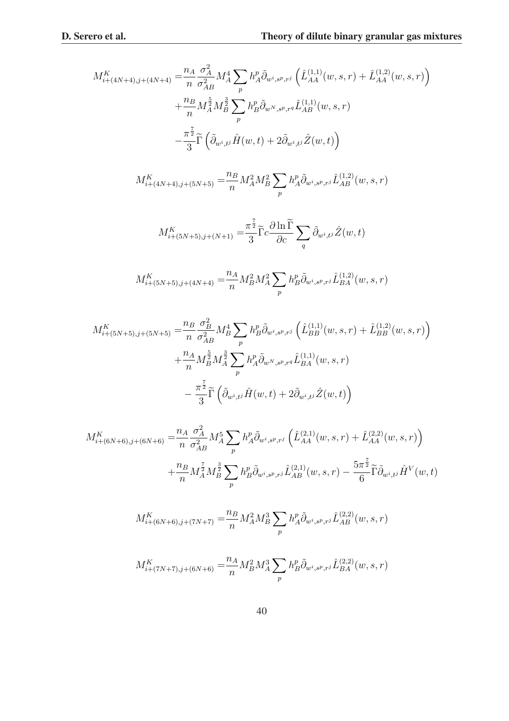$$
M_{i+(4N+4),j+(4N+4)}^{K} = \frac{n_A}{n} \frac{\sigma_A^2}{\sigma_{AB}^2} M_A^4 \sum_p h_A^p \tilde{\partial}_{w^i,s^p,r^j} \left( \hat{L}_{AA}^{(1,1)}(w,s,r) + \hat{L}_{AA}^{(1,2)}(w,s,r) \right) + \frac{n_B}{n} M_A^{\frac{5}{2}} M_B^{\frac{3}{2}} \sum_p h_B^p \tilde{\partial}_{w^N,s^p,r^q} \hat{L}_{AB}^{(1,1)}(w,s,r) - \frac{\pi^{\frac{7}{2}}}{3} \tilde{\Gamma} \left( \tilde{\partial}_{w^i,t^j} \hat{H}(w,t) + 2 \tilde{\partial}_{w^i,t^j} \hat{Z}(w,t) \right)
$$

$$
M^K_{i+(4N+4),j+(5N+5)} = \frac{n_B}{n} M_A^2 M_B^2 \sum_p h_A^p \tilde{\partial}_{w^i,s^p,r^j} \hat{L}_{AB}^{(1,2)}(w,s,r)
$$

$$
M^K_{i+(5N+5),j+(N+1)} = \frac{\pi^{\frac{7}{2}}}{3}\widetilde{\Gamma}c\frac{\partial\ln\widetilde{\Gamma}}{\partial c}\sum_q\widetilde{\partial}_{w^i,t^j}\hat{Z}(w,t)
$$

$$
M_{i+(5N+5),j+(4N+4)}^{K} = \frac{n_A}{n} M_B^2 M_A^2 \sum_p h_B^p \tilde{\partial}_{w^i,s^p,r^j} \hat{L}_{BA}^{(1,2)}(w,s,r)
$$

$$
M_{i+(5N+5),j+(5N+5)}^{K} = \frac{n_B}{n} \frac{\sigma_B^2}{\sigma_{AB}^2} M_B^4 \sum_p h_B^p \tilde{\partial}_{w^i,s^p,r^j} \left( \hat{L}_{BB}^{(1,1)}(w,s,r) + \hat{L}_{BB}^{(1,2)}(w,s,r) \right) + \frac{n_A}{n} M_B^{\frac{5}{2}} M_A^{\frac{3}{2}} \sum_p h_A^p \tilde{\partial}_{w^N,s^p,r^q} \hat{L}_{BA}^{(1,1)}(w,s,r) - \frac{\pi^{\frac{7}{2}}}{3} \tilde{\Gamma} \left( \tilde{\partial}_{w^i,t^j} \hat{H}(w,t) + 2 \tilde{\partial}_{w^i,t^j} \hat{Z}(w,t) \right)
$$

$$
M_{i+(6N+6),j+(6N+6)}^{K} = \frac{n_A}{n} \frac{\sigma_A^2}{\sigma_{AB}^2} M_A^5 \sum_p h_A^p \tilde{\partial}_{w^i,s^p,r^j} \left( \hat{L}_{AA}^{(2,1)}(w,s,r) + \hat{L}_{AA}^{(2,2)}(w,s,r) \right)
$$
  
+ 
$$
\frac{n_B}{n} M_A^{\frac{7}{2}} M_B^{\frac{3}{2}} \sum_p h_B^p \tilde{\partial}_{w^i,s^p,r^j} \hat{L}_{AB}^{(2,1)}(w,s,r) - \frac{5\pi^{\frac{7}{2}}}{6} \tilde{\Gamma} \tilde{\partial}_{w^i,t^j} \hat{H}^V(w,t)
$$

$$
M_{i+(6N+6),j+(7N+7)}^{K} = \frac{n_B}{n} M_A^2 M_B^3 \sum_p h_A^p \tilde{\partial}_{w^i,s^p,r^j} \hat{L}_{AB}^{(2,2)}(w,s,r)
$$

$$
M_{i+(7N+7),j+(6N+6)}^{K} = \frac{n_A}{n} M_B^2 M_A^3 \sum_p h_B^p \tilde{\partial}_{w^i,s^p,r^j} \hat{L}_{BA}^{(2,2)}(w,s,r)
$$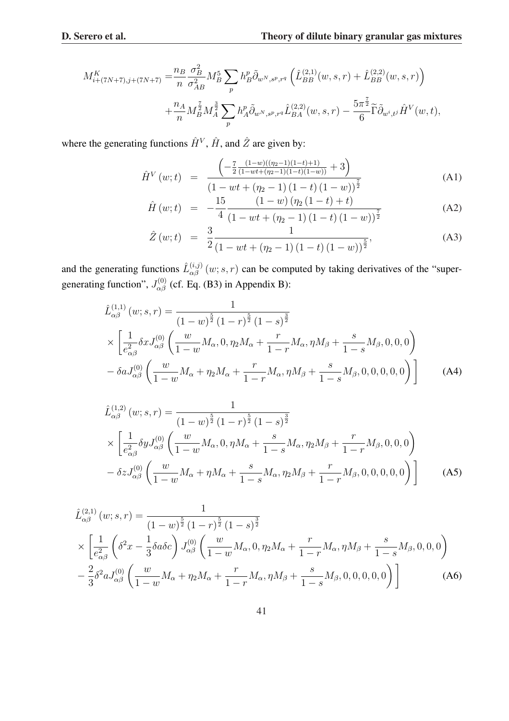$$
\begin{split} M_{i+(7N+7),j+(7N+7)}^{K} = & \frac{n_B}{n} \frac{\sigma_B^2}{\sigma_{AB}^2} M_B^5 \sum_p h_B^p \tilde{\partial}_{w^N,s^p,r^q} \left( \hat{L}_{BB}^{(2,1)}(w,s,r) + \hat{L}_{BB}^{(2,2)}(w,s,r) \right) \\ + & \frac{n_A}{n} M_B^{\frac{7}{2}} M_A^{\frac{3}{2}} \sum_p h_A^p \tilde{\partial}_{w^N,s^p,r^q} \hat{L}_{BA}^{(2,2)}(w,s,r) - \frac{5\pi^{\frac{7}{2}}}{6} \widetilde{\Gamma} \tilde{\partial}_{w^i,t^j} \hat{H}^V(w,t), \end{split}
$$

where the generating functions  $\hat{H}^V$ ,  $\hat{H}$ , and  $\hat{Z}$  are given by:

$$
\hat{H}^V(w;t) = \frac{\left(-\frac{7}{2}\frac{(1-w)((\eta_2-1)(1-t)+1)}{(1-wt+(\eta_2-1)(1-t)(1-w))}+3\right)}{(1-wt+(\eta_2-1)(1-t)(1-w))^{\frac{7}{2}}}
$$
(A1)

$$
\hat{H}(w;t) = -\frac{15}{4} \frac{(1-w)(\eta_2(1-t)+t)}{(1-wt+(\eta_2-1)(1-t)(1-w))^{\frac{7}{2}}}
$$
\n(A2)

$$
\hat{Z}(w;t) = \frac{3}{2} \frac{1}{(1 - wt + (\eta_2 - 1) (1 - t) (1 - w))^{\frac{5}{2}}},
$$
\n(A3)

and the generating functions  $\hat{L}_{\alpha\beta}^{(i,j)}(w;s,r)$  can be computed by taking derivatives of the "supergenerating function",  $J_{\alpha\beta}^{(0)}$  (cf. Eq. (B3) in Appendix B):

$$
\hat{L}_{\alpha\beta}^{(1,1)}(w;s,r) = \frac{1}{(1-w)^{\frac{5}{2}}(1-r)^{\frac{5}{2}}(1-s)^{\frac{3}{2}}} \times \left[\frac{1}{e_{\alpha\beta}^{2}} \delta x J_{\alpha\beta}^{(0)} \left(\frac{w}{1-w} M_{\alpha}, 0, \eta_{2} M_{\alpha} + \frac{r}{1-r} M_{\alpha}, \eta M_{\beta} + \frac{s}{1-s} M_{\beta}, 0, 0, 0\right) - \delta a J_{\alpha\beta}^{(0)} \left(\frac{w}{1-w} M_{\alpha} + \eta_{2} M_{\alpha} + \frac{r}{1-r} M_{\alpha}, \eta M_{\beta} + \frac{s}{1-s} M_{\beta}, 0, 0, 0, 0, 0\right)\right]
$$
\n(A4)

$$
\hat{L}_{\alpha\beta}^{(1,2)}(w;s,r) = \frac{1}{(1-w)^{\frac{5}{2}}(1-r)^{\frac{5}{2}}(1-s)^{\frac{3}{2}}} \times \left[\frac{1}{e_{\alpha\beta}^{2}} \delta y J_{\alpha\beta}^{(0)}\left(\frac{w}{1-w} M_{\alpha}, 0, \eta M_{\alpha} + \frac{s}{1-s} M_{\alpha}, \eta_{2} M_{\beta} + \frac{r}{1-r} M_{\beta}, 0, 0, 0\right) - \delta z J_{\alpha\beta}^{(0)}\left(\frac{w}{1-w} M_{\alpha} + \eta M_{\alpha} + \frac{s}{1-s} M_{\alpha}, \eta_{2} M_{\beta} + \frac{r}{1-r} M_{\beta}, 0, 0, 0, 0, 0\right)\right]
$$
\n(A5)

$$
\hat{L}_{\alpha\beta}^{(2,1)}(w;s,r) = \frac{1}{(1-w)^{\frac{5}{2}}(1-r)^{\frac{5}{2}}(1-s)^{\frac{3}{2}}} \times \left[\frac{1}{e_{\alpha\beta}^{2}}\left(\delta^{2}x - \frac{1}{3}\delta a\delta c\right)J_{\alpha\beta}^{(0)}\left(\frac{w}{1-w}M_{\alpha}, 0, \eta_{2}M_{\alpha} + \frac{r}{1-r}M_{\alpha}, \eta M_{\beta} + \frac{s}{1-s}M_{\beta}, 0, 0, 0\right) - \frac{2}{3}\delta^{2}aJ_{\alpha\beta}^{(0)}\left(\frac{w}{1-w}M_{\alpha} + \eta_{2}M_{\alpha} + \frac{r}{1-r}M_{\alpha}, \eta M_{\beta} + \frac{s}{1-s}M_{\beta}, 0, 0, 0, 0, 0\right)\right]
$$
\n(A6)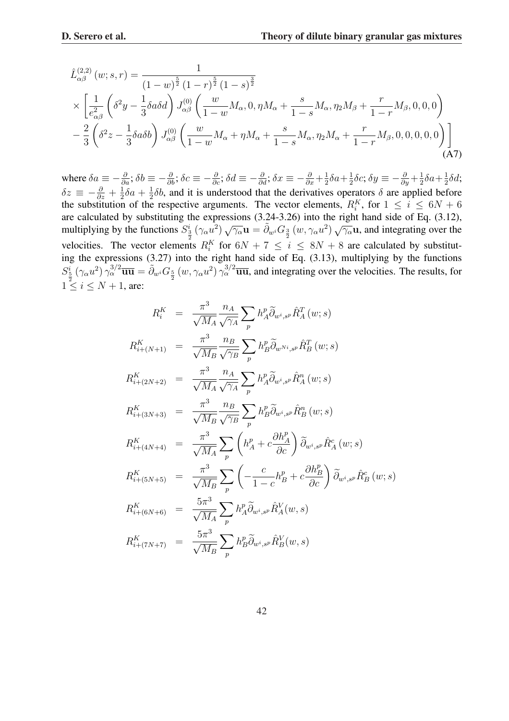$$
\hat{L}_{\alpha\beta}^{(2,2)}(w;s,r) = \frac{1}{(1-w)^{\frac{5}{2}}(1-r)^{\frac{5}{2}}(1-s)^{\frac{3}{2}}} \times \left[\frac{1}{e_{\alpha\beta}^{2}}\left(\delta^{2}y - \frac{1}{3}\delta a\delta d\right)J_{\alpha\beta}^{(0)}\left(\frac{w}{1-w}M_{\alpha},0,\eta M_{\alpha} + \frac{s}{1-s}M_{\alpha},\eta_{2}M_{\beta} + \frac{r}{1-r}M_{\beta},0,0,0\right) - \frac{2}{3}\left(\delta^{2}z - \frac{1}{3}\delta a\delta b\right)J_{\alpha\beta}^{(0)}\left(\frac{w}{1-w}M_{\alpha} + \eta M_{\alpha} + \frac{s}{1-s}M_{\alpha},\eta_{2}M_{\alpha} + \frac{r}{1-r}M_{\beta},0,0,0,0,0\right)\right]
$$
\n(A7)

where  $\delta a\equiv-\frac{\partial}{\partial a};\delta b\equiv-\frac{\partial}{\partial b};\delta c\equiv-\frac{\partial}{\partial c};\delta d\equiv-\frac{\partial}{\partial d};\delta x\equiv-\frac{\partial}{\partial x}+\frac{1}{2}$  $rac{1}{2}\delta a + \frac{1}{2}$  $\frac{1}{2}\delta c$ ;  $\delta y \equiv -\frac{\partial}{\partial y} + \frac{1}{2}$  $rac{1}{2}\delta a + \frac{1}{2}$  $rac{1}{2}\delta d;$  $\delta z \equiv -\frac{\partial}{\partial z} + \frac{1}{2}$  $\frac{1}{2}\delta a + \frac{1}{2}$  $\frac{1}{2}\delta b$ , and it is understood that the derivatives operators  $\delta$  are applied before the substitution of the respective arguments. The vector elements,  $R_i^K$ , for  $1 \le i \le 6N + 6$ are calculated by substituting the expressions (3.24-3.26) into the right hand side of Eq. (3.12), multiplying by the functions  $S^i_{\frac{3}{2}}(\gamma_\alpha u^2)\sqrt{\gamma_\alpha}u = \tilde{\partial}_{w^i}G_{\frac{3}{2}}(w, \gamma_\alpha u^2)\sqrt{\gamma_\alpha}u$ , and integrating over the velocities. The vector elements  $R_i^K$  for  $6N + 7 \le i \le 8N + 8$  are calculated by substituting the expressions (3.27) into the right hand side of Eq. (3.13), multiplying by the functions  $S^i_{\frac{5}{2}}(\gamma_\alpha u^2)\gamma_\alpha^{3/2}\overline{\mathbf{u}}\overline{\mathbf{u}} = \tilde{\partial}_{w^i}G_{\frac{5}{2}}(w,\gamma_\alpha u^2)\gamma_\alpha^{3/2}\overline{\mathbf{u}}\overline{\mathbf{u}}$ , and integrating over the velocities. The results, for  $1 \leq i \leq N + 1$ , are:

$$
R_{i}^{K} = \frac{\pi^{3}}{\sqrt{M_{A}}}\frac{n_{A}}{\sqrt{\gamma_{A}}} \sum_{p} h_{A}^{p} \tilde{\partial}_{w^{i},s^{p}} \hat{R}_{A}^{T}(w;s)
$$
  
\n
$$
R_{i+(N+1)}^{K} = \frac{\pi^{3}}{\sqrt{M_{B}}}\frac{n_{B}}{\sqrt{\gamma_{B}}} \sum_{p} h_{B}^{p} \tilde{\partial}_{w^{Ni},s^{p}} \hat{R}_{B}^{T}(w;s)
$$
  
\n
$$
R_{i+(2N+2)}^{K} = \frac{\pi^{3}}{\sqrt{M_{A}}}\frac{n_{A}}{\sqrt{\gamma_{A}}} \sum_{p} h_{A}^{p} \tilde{\partial}_{w^{i},s^{p}} \hat{R}_{A}^{n}(w;s)
$$
  
\n
$$
R_{i+(3N+3)}^{K} = \frac{\pi^{3}}{\sqrt{M_{B}}}\frac{n_{B}}{\sqrt{\gamma_{B}}} \sum_{p} h_{B}^{p} \tilde{\partial}_{w^{i},s^{p}} \hat{R}_{B}^{n}(w;s)
$$
  
\n
$$
R_{i+(4N+4)}^{K} = \frac{\pi^{3}}{\sqrt{M_{A}}} \sum_{p} \left( h_{A}^{p} + c \frac{\partial h_{A}^{p}}{\partial c} \right) \tilde{\partial}_{w^{i},s^{p}} \hat{R}_{A}^{c}(w;s)
$$
  
\n
$$
R_{i+(5N+5)}^{K} = \frac{\pi^{3}}{\sqrt{M_{B}}} \sum_{p} \left( -\frac{c}{1-c} h_{B}^{p} + c \frac{\partial h_{B}^{p}}{\partial c} \right) \tilde{\partial}_{w^{i},s^{p}} \hat{R}_{B}^{c}(w;s)
$$
  
\n
$$
R_{i+(6N+6)}^{K} = \frac{5\pi^{3}}{\sqrt{M_{B}}} \sum_{p} h_{A}^{p} \tilde{\partial}_{w^{i},s^{p}} \hat{R}_{A}^{V}(w,s)
$$
  
\n
$$
R_{i+(7N+7)}^{K} = \frac{5\pi^{3}}{\sqrt{M_{B}}} \sum_{p} h_{B}^{p} \tilde{\partial}_{w^{i},s^{p}} \hat{R}_{B}^{V}(w,s)
$$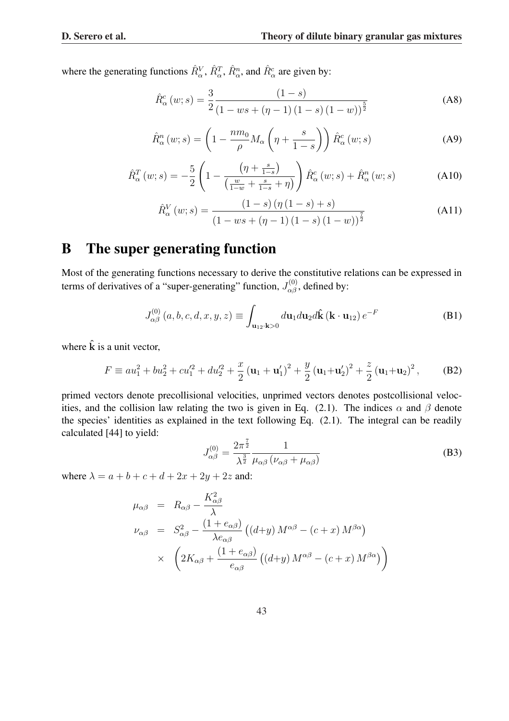where the generating functions  $\hat{R}^V_\alpha$ ,  $\hat{R}^T_\alpha$ ,  $\hat{R}^n_\alpha$ , and  $\hat{R}^c_\alpha$  are given by:

$$
\hat{R}_{\alpha}^{c}(w;s) = \frac{3}{2} \frac{(1-s)}{(1-ws+(\eta-1)(1-s)(1-w))^{\frac{5}{2}}}
$$
(A8)

$$
\hat{R}_{\alpha}^{n}(w;s) = \left(1 - \frac{nm_{0}}{\rho}M_{\alpha}\left(\eta + \frac{s}{1-s}\right)\right)\hat{R}_{\alpha}^{c}(w;s)
$$
\n(A9)

$$
\hat{R}_{\alpha}^{T}\left(w;s\right) = -\frac{5}{2}\left(1 - \frac{\left(\eta + \frac{s}{1-s}\right)}{\left(\frac{w}{1-w} + \frac{s}{1-s} + \eta\right)}\right)\hat{R}_{\alpha}^{c}\left(w;s\right) + \hat{R}_{\alpha}^{n}\left(w;s\right) \tag{A10}
$$

$$
\hat{R}_{\alpha}^{V}(w;s) = \frac{(1-s)(\eta(1-s)+s)}{(1-ws+(\eta-1)(1-s)(1-w))^{\frac{7}{2}}}
$$
\n(A11)

### B The super generating function

Most of the generating functions necessary to derive the constitutive relations can be expressed in terms of derivatives of a "super-generating" function,  $J_{\alpha\beta}^{(0)}$ , defined by:

$$
J_{\alpha\beta}^{(0)}(a,b,c,d,x,y,z) \equiv \int_{\mathbf{u}_{12}\cdot\mathbf{k}>0} d\mathbf{u}_1 d\mathbf{u}_2 d\hat{\mathbf{k}} (\mathbf{k}\cdot\mathbf{u}_{12}) e^{-F}
$$
(B1)

where  $\hat{k}$  is a unit vector,

$$
F \equiv au_1^2 + bu_2^2 + cu_1'^2 + du_2'^2 + \frac{x}{2} \left(\mathbf{u}_1 + \mathbf{u}_1'\right)^2 + \frac{y}{2} \left(\mathbf{u}_1 + \mathbf{u}_2'\right)^2 + \frac{z}{2} \left(\mathbf{u}_1 + \mathbf{u}_2\right)^2, \tag{B2}
$$

primed vectors denote precollisional velocities, unprimed vectors denotes postcollisional velocities, and the collision law relating the two is given in Eq. (2.1). The indices  $\alpha$  and  $\beta$  denote the species' identities as explained in the text following Eq. (2.1). The integral can be readily calculated [44] to yield:

$$
J_{\alpha\beta}^{(0)} = \frac{2\pi^{\frac{7}{2}}}{\lambda^{\frac{3}{2}}} \frac{1}{\mu_{\alpha\beta} \left(\nu_{\alpha\beta} + \mu_{\alpha\beta}\right)}
$$
(B3)

where  $\lambda = a + b + c + d + 2x + 2y + 2z$  and:

$$
\mu_{\alpha\beta} = R_{\alpha\beta} - \frac{K_{\alpha\beta}^2}{\lambda}
$$
\n
$$
\nu_{\alpha\beta} = S_{\alpha\beta}^2 - \frac{(1 + e_{\alpha\beta})}{\lambda e_{\alpha\beta}} \left( (d+y) M^{\alpha\beta} - (c+x) M^{\beta\alpha} \right)
$$
\n
$$
\times \left( 2K_{\alpha\beta} + \frac{(1 + e_{\alpha\beta})}{e_{\alpha\beta}} \left( (d+y) M^{\alpha\beta} - (c+x) M^{\beta\alpha} \right) \right)
$$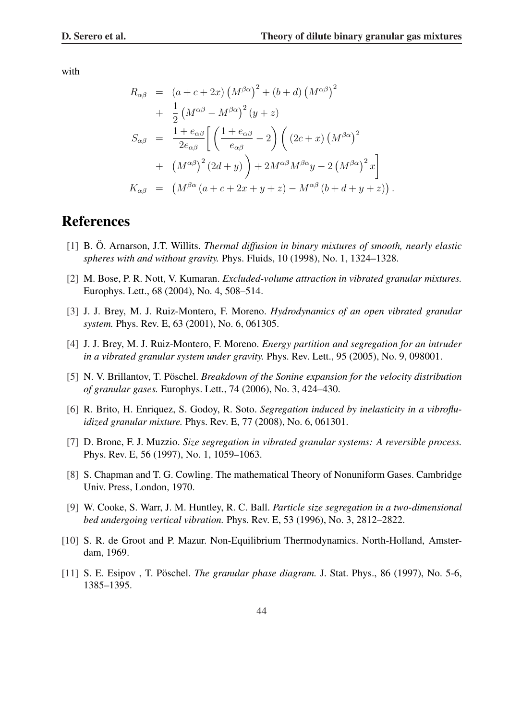with

$$
R_{\alpha\beta} = (a + c + 2x) (M^{\beta\alpha})^2 + (b + d) (M^{\alpha\beta})^2
$$
  
+ 
$$
\frac{1}{2} (M^{\alpha\beta} - M^{\beta\alpha})^2 (y + z)
$$
  

$$
S_{\alpha\beta} = \frac{1 + e_{\alpha\beta}}{2e_{\alpha\beta}} \left[ \left( \frac{1 + e_{\alpha\beta}}{e_{\alpha\beta}} - 2 \right) \left( (2c + x) (M^{\beta\alpha})^2 \right) + (M^{\alpha\beta})^2 (2d + y) \right) + 2M^{\alpha\beta} M^{\beta\alpha} y - 2 (M^{\beta\alpha})^2 x \right]
$$
  

$$
K_{\alpha\beta} = (M^{\beta\alpha} (a + c + 2x + y + z) - M^{\alpha\beta} (b + d + y + z)).
$$

### References

- [1] B. Ö. Arnarson, J.T. Willits. *Thermal diffusion in binary mixtures of smooth, nearly elastic spheres with and without gravity.* Phys. Fluids, 10 (1998), No. 1, 1324–1328.
- [2] M. Bose, P. R. Nott, V. Kumaran. *Excluded-volume attraction in vibrated granular mixtures.* Europhys. Lett., 68 (2004), No. 4, 508–514.
- [3] J. J. Brey, M. J. Ruiz-Montero, F. Moreno. *Hydrodynamics of an open vibrated granular system.* Phys. Rev. E, 63 (2001), No. 6, 061305.
- [4] J. J. Brey, M. J. Ruiz-Montero, F. Moreno. *Energy partition and segregation for an intruder in a vibrated granular system under gravity.* Phys. Rev. Lett., 95 (2005), No. 9, 098001.
- [5] N. V. Brillantov, T. Pöschel. *Breakdown of the Sonine expansion for the velocity distribution of granular gases.* Europhys. Lett., 74 (2006), No. 3, 424–430.
- [6] R. Brito, H. Enriquez, S. Godoy, R. Soto. *Segregation induced by inelasticity in a vibrofluidized granular mixture.* Phys. Rev. E, 77 (2008), No. 6, 061301.
- [7] D. Brone, F. J. Muzzio. *Size segregation in vibrated granular systems: A reversible process.* Phys. Rev. E, 56 (1997), No. 1, 1059–1063.
- [8] S. Chapman and T. G. Cowling. The mathematical Theory of Nonuniform Gases. Cambridge Univ. Press, London, 1970.
- [9] W. Cooke, S. Warr, J. M. Huntley, R. C. Ball. *Particle size segregation in a two-dimensional bed undergoing vertical vibration.* Phys. Rev. E, 53 (1996), No. 3, 2812–2822.
- [10] S. R. de Groot and P. Mazur. Non-Equilibrium Thermodynamics. North-Holland, Amsterdam, 1969.
- [11] S. E. Esipov, T. Pöschel. *The granular phase diagram.* J. Stat. Phys., 86 (1997), No. 5-6, 1385–1395.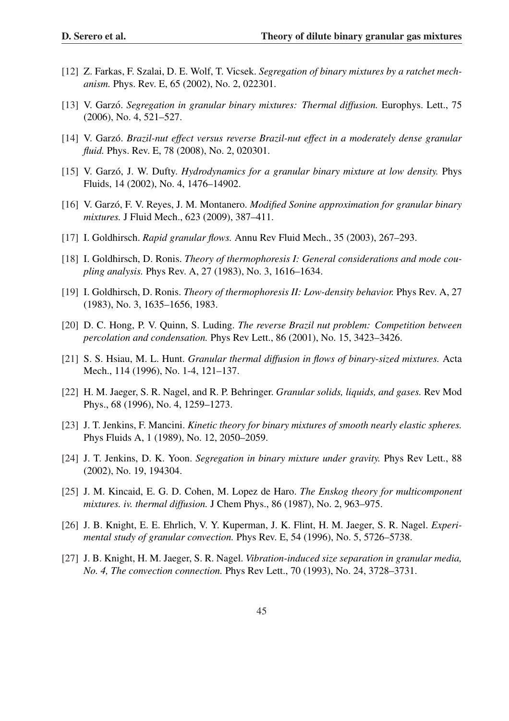- [12] Z. Farkas, F. Szalai, D. E. Wolf, T. Vicsek. *Segregation of binary mixtures by a ratchet mechanism.* Phys. Rev. E, 65 (2002), No. 2, 022301.
- [13] V. Garzo.´ *Segregation in granular binary mixtures: Thermal diffusion.* Europhys. Lett., 75 (2006), No. 4, 521–527.
- [14] V. Garzó. *Brazil-nut effect versus reverse Brazil-nut effect in a moderately dense granular fluid.* Phys. Rev. E, 78 (2008), No. 2, 020301.
- [15] V. Garzó, J. W. Dufty. *Hydrodynamics for a granular binary mixture at low density*. Phys Fluids, 14 (2002), No. 4, 1476–14902.
- [16] V. Garzó, F. V. Reyes, J. M. Montanero. *Modified Sonine approximation for granular binary mixtures.* J Fluid Mech., 623 (2009), 387–411.
- [17] I. Goldhirsch. *Rapid granular flows.* Annu Rev Fluid Mech., 35 (2003), 267–293.
- [18] I. Goldhirsch, D. Ronis. *Theory of thermophoresis I: General considerations and mode coupling analysis.* Phys Rev. A, 27 (1983), No. 3, 1616–1634.
- [19] I. Goldhirsch, D. Ronis. *Theory of thermophoresis II: Low-density behavior.* Phys Rev. A, 27 (1983), No. 3, 1635–1656, 1983.
- [20] D. C. Hong, P. V. Quinn, S. Luding. *The reverse Brazil nut problem: Competition between percolation and condensation.* Phys Rev Lett., 86 (2001), No. 15, 3423–3426.
- [21] S. S. Hsiau, M. L. Hunt. *Granular thermal diffusion in flows of binary-sized mixtures.* Acta Mech., 114 (1996), No. 1-4, 121–137.
- [22] H. M. Jaeger, S. R. Nagel, and R. P. Behringer. *Granular solids, liquids, and gases.* Rev Mod Phys., 68 (1996), No. 4, 1259–1273.
- [23] J. T. Jenkins, F. Mancini. *Kinetic theory for binary mixtures of smooth nearly elastic spheres.* Phys Fluids A, 1 (1989), No. 12, 2050–2059.
- [24] J. T. Jenkins, D. K. Yoon. *Segregation in binary mixture under gravity.* Phys Rev Lett., 88 (2002), No. 19, 194304.
- [25] J. M. Kincaid, E. G. D. Cohen, M. Lopez de Haro. *The Enskog theory for multicomponent mixtures. iv. thermal diffusion.* J Chem Phys., 86 (1987), No. 2, 963–975.
- [26] J. B. Knight, E. E. Ehrlich, V. Y. Kuperman, J. K. Flint, H. M. Jaeger, S. R. Nagel. *Experimental study of granular convection.* Phys Rev. E, 54 (1996), No. 5, 5726–5738.
- [27] J. B. Knight, H. M. Jaeger, S. R. Nagel. *Vibration-induced size separation in granular media, No. 4, The convection connection.* Phys Rev Lett., 70 (1993), No. 24, 3728–3731.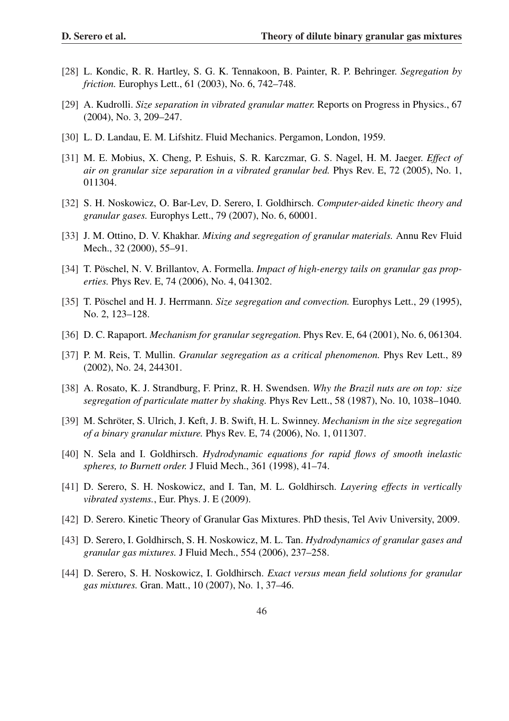- [28] L. Kondic, R. R. Hartley, S. G. K. Tennakoon, B. Painter, R. P. Behringer. *Segregation by friction.* Europhys Lett., 61 (2003), No. 6, 742–748.
- [29] A. Kudrolli. *Size separation in vibrated granular matter.* Reports on Progress in Physics., 67 (2004), No. 3, 209–247.
- [30] L. D. Landau, E. M. Lifshitz. Fluid Mechanics. Pergamon, London, 1959.
- [31] M. E. Mobius, X. Cheng, P. Eshuis, S. R. Karczmar, G. S. Nagel, H. M. Jaeger. *Effect of air on granular size separation in a vibrated granular bed.* Phys Rev. E, 72 (2005), No. 1, 011304.
- [32] S. H. Noskowicz, O. Bar-Lev, D. Serero, I. Goldhirsch. *Computer-aided kinetic theory and granular gases.* Europhys Lett., 79 (2007), No. 6, 60001.
- [33] J. M. Ottino, D. V. Khakhar. *Mixing and segregation of granular materials.* Annu Rev Fluid Mech., 32 (2000), 55–91.
- [34] T. Pöschel, N. V. Brillantov, A. Formella. *Impact of high-energy tails on granular gas properties.* Phys Rev. E, 74 (2006), No. 4, 041302.
- [35] T. Poschel and H. J. Herrmann. *Size segregation and convection*. Europhys Lett., 29 (1995), No. 2, 123–128.
- [36] D. C. Rapaport. *Mechanism for granular segregation.* Phys Rev. E, 64 (2001), No. 6, 061304.
- [37] P. M. Reis, T. Mullin. *Granular segregation as a critical phenomenon.* Phys Rev Lett., 89 (2002), No. 24, 244301.
- [38] A. Rosato, K. J. Strandburg, F. Prinz, R. H. Swendsen. *Why the Brazil nuts are on top: size segregation of particulate matter by shaking.* Phys Rev Lett., 58 (1987), No. 10, 1038–1040.
- [39] M. Schröter, S. Ulrich, J. Keft, J. B. Swift, H. L. Swinney. *Mechanism in the size segregation of a binary granular mixture.* Phys Rev. E, 74 (2006), No. 1, 011307.
- [40] N. Sela and I. Goldhirsch. *Hydrodynamic equations for rapid flows of smooth inelastic spheres, to Burnett order.* J Fluid Mech., 361 (1998), 41–74.
- [41] D. Serero, S. H. Noskowicz, and I. Tan, M. L. Goldhirsch. *Layering effects in vertically vibrated systems.*, Eur. Phys. J. E (2009).
- [42] D. Serero. Kinetic Theory of Granular Gas Mixtures. PhD thesis, Tel Aviv University, 2009.
- [43] D. Serero, I. Goldhirsch, S. H. Noskowicz, M. L. Tan. *Hydrodynamics of granular gases and granular gas mixtures.* J Fluid Mech., 554 (2006), 237–258.
- [44] D. Serero, S. H. Noskowicz, I. Goldhirsch. *Exact versus mean field solutions for granular gas mixtures.* Gran. Matt., 10 (2007), No. 1, 37–46.